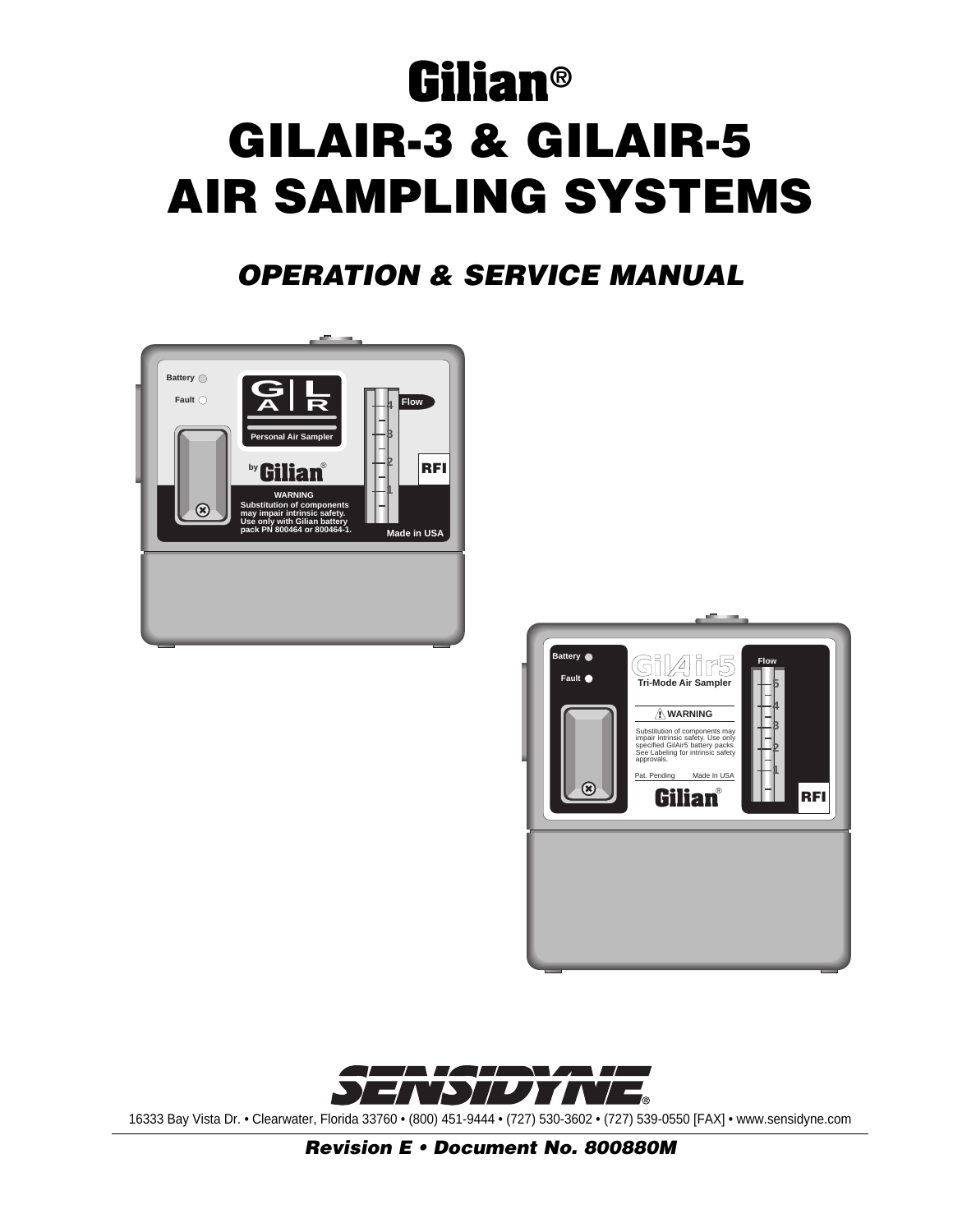# **Gilian® GILAIR-3 & GILAIR-5 AIR SAMPLING SYSTEMS**

# **OPERATION & SERVICE MANUAL**







16333 Bay Vista Dr. • Clearwater, Florida 33760 • (800) 451-9444 • (727) 530-3602 • (727) 539-0550 [FAX] • www.sensidyne.com

**Revision E • Document No. 800880M**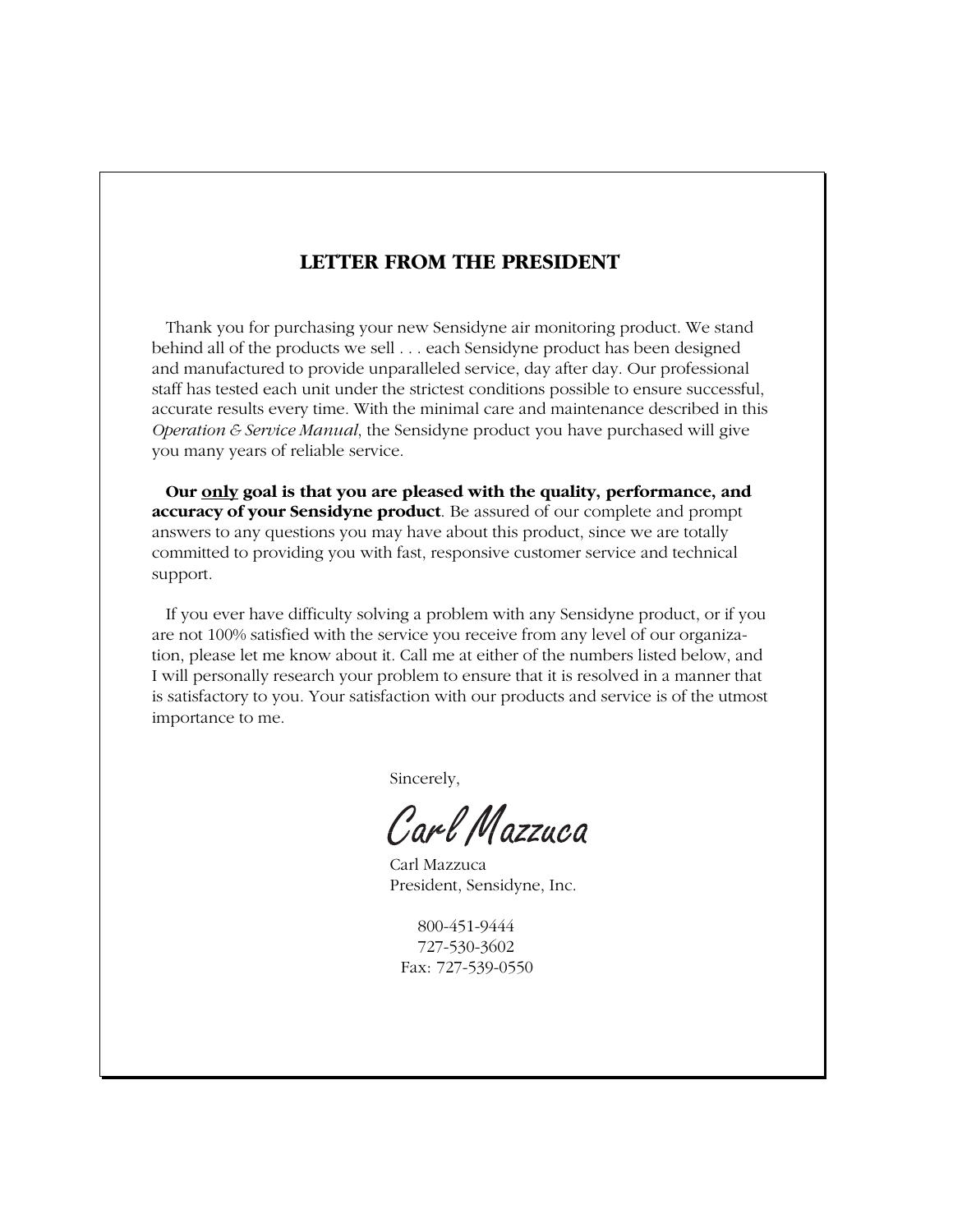# **LETTER FROM THE PRESIDENT**

Thank you for purchasing your new Sensidyne air monitoring product. We stand behind all of the products we sell . . . each Sensidyne product has been designed and manufactured to provide unparalleled service, day after day. Our professional staff has tested each unit under the strictest conditions possible to ensure successful, accurate results every time. With the minimal care and maintenance described in this *Operation & Service Manual*, the Sensidyne product you have purchased will give you many years of reliable service.

**Our only goal is that you are pleased with the quality, performance, and accuracy of your Sensidyne product**. Be assured of our complete and prompt answers to any questions you may have about this product, since we are totally committed to providing you with fast, responsive customer service and technical support.

If you ever have difficulty solving a problem with any Sensidyne product, or if you are not 100% satisfied with the service you receive from any level of our organization, please let me know about it. Call me at either of the numbers listed below, and I will personally research your problem to ensure that it is resolved in a manner that is satisfactory to you. Your satisfaction with our products and service is of the utmost importance to me.

Sincerely,

Carl Mazzuca

Carl Mazzuca President, Sensidyne, Inc.

800-451-9444 727-530-3602 Fax: 727-539-0550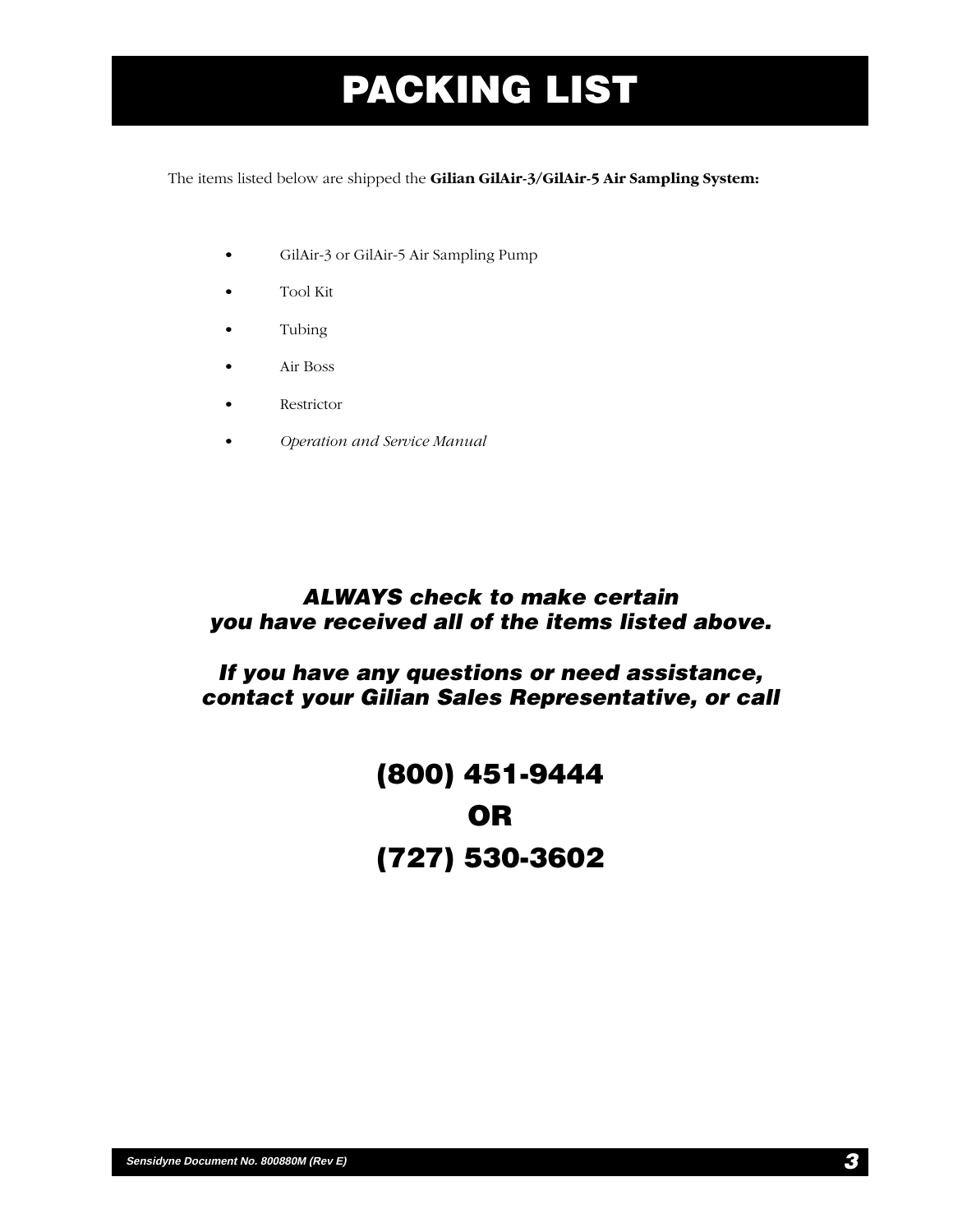# **PACKING LIST**

The items listed below are shipped the **Gilian GilAir-3/GilAir-5 Air Sampling System:**

- GilAir-3 or GilAir-5 Air Sampling Pump
- Tool Kit
- Tubing
- Air Boss
- Restrictor
- *Operation and Service Manual*

# **ALWAYS check to make certain you have received all of the items listed above.**

# **If you have any questions or need assistance, contact your Gilian Sales Representative, or call**

# **(800) 451-9444 OR (727) 530-3602**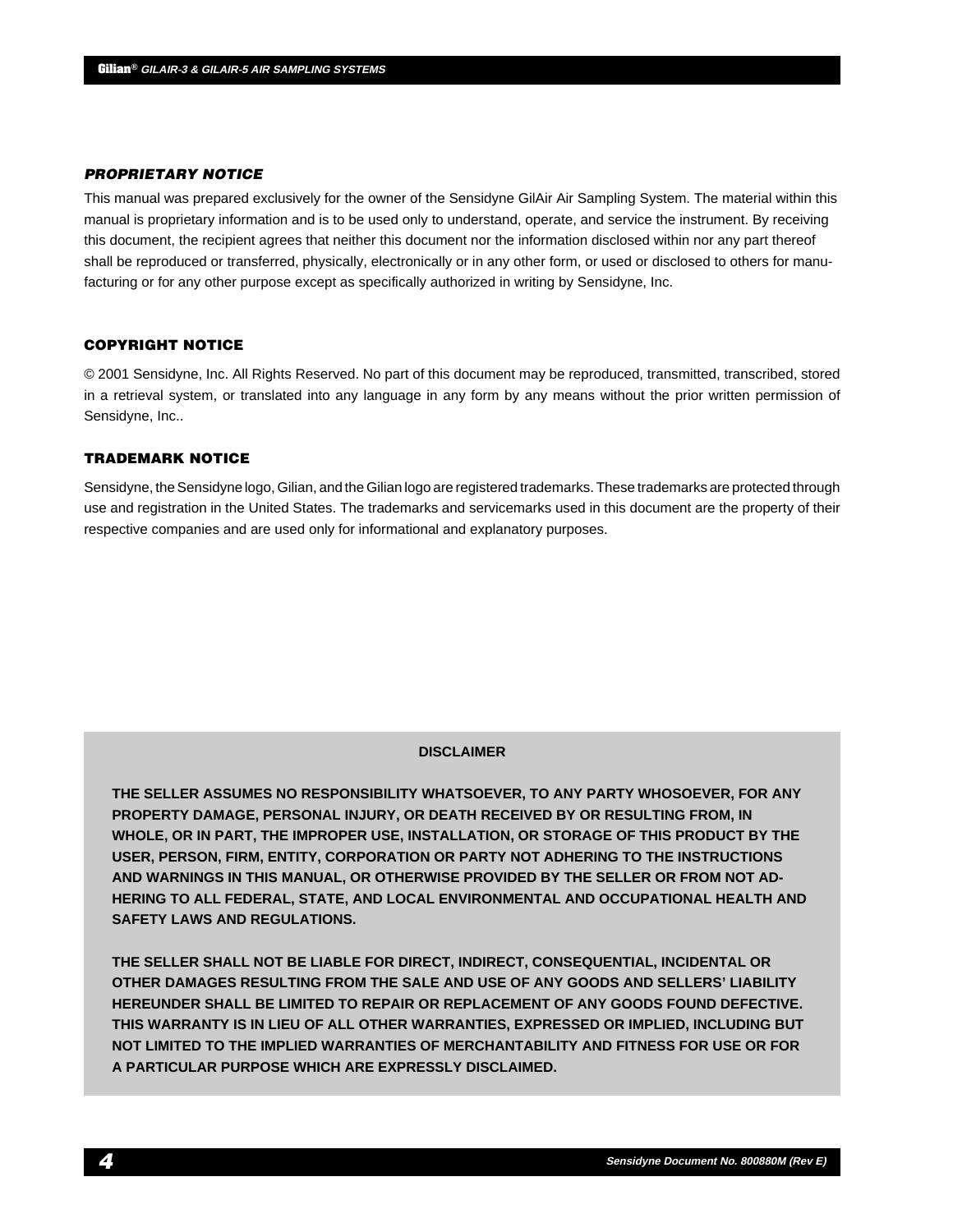#### **PROPRIETARY NOTICE**

This manual was prepared exclusively for the owner of the Sensidyne GilAir Air Sampling System. The material within this manual is proprietary information and is to be used only to understand, operate, and service the instrument. By receiving this document, the recipient agrees that neither this document nor the information disclosed within nor any part thereof shall be reproduced or transferred, physically, electronically or in any other form, or used or disclosed to others for manufacturing or for any other purpose except as specifically authorized in writing by Sensidyne, Inc.

#### **COPYRIGHT NOTICE**

© 2001 Sensidyne, Inc. All Rights Reserved. No part of this document may be reproduced, transmitted, transcribed, stored in a retrieval system, or translated into any language in any form by any means without the prior written permission of Sensidyne, Inc..

#### **TRADEMARK NOTICE**

Sensidyne, the Sensidyne logo, Gilian, and the Gilian logo are registered trademarks. These trademarks are protected through use and registration in the United States. The trademarks and servicemarks used in this document are the property of their respective companies and are used only for informational and explanatory purposes.

#### **DISCLAIMER**

**THE SELLER ASSUMES NO RESPONSIBILITY WHATSOEVER, TO ANY PARTY WHOSOEVER, FOR ANY PROPERTY DAMAGE, PERSONAL INJURY, OR DEATH RECEIVED BY OR RESULTING FROM, IN WHOLE, OR IN PART, THE IMPROPER USE, INSTALLATION, OR STORAGE OF THIS PRODUCT BY THE USER, PERSON, FIRM, ENTITY, CORPORATION OR PARTY NOT ADHERING TO THE INSTRUCTIONS AND WARNINGS IN THIS MANUAL, OR OTHERWISE PROVIDED BY THE SELLER OR FROM NOT AD-HERING TO ALL FEDERAL, STATE, AND LOCAL ENVIRONMENTAL AND OCCUPATIONAL HEALTH AND SAFETY LAWS AND REGULATIONS.**

**THE SELLER SHALL NOT BE LIABLE FOR DIRECT, INDIRECT, CONSEQUENTIAL, INCIDENTAL OR OTHER DAMAGES RESULTING FROM THE SALE AND USE OF ANY GOODS AND SELLERS' LIABILITY HEREUNDER SHALL BE LIMITED TO REPAIR OR REPLACEMENT OF ANY GOODS FOUND DEFECTIVE. THIS WARRANTY IS IN LIEU OF ALL OTHER WARRANTIES, EXPRESSED OR IMPLIED, INCLUDING BUT NOT LIMITED TO THE IMPLIED WARRANTIES OF MERCHANTABILITY AND FITNESS FOR USE OR FOR A PARTICULAR PURPOSE WHICH ARE EXPRESSLY DISCLAIMED.**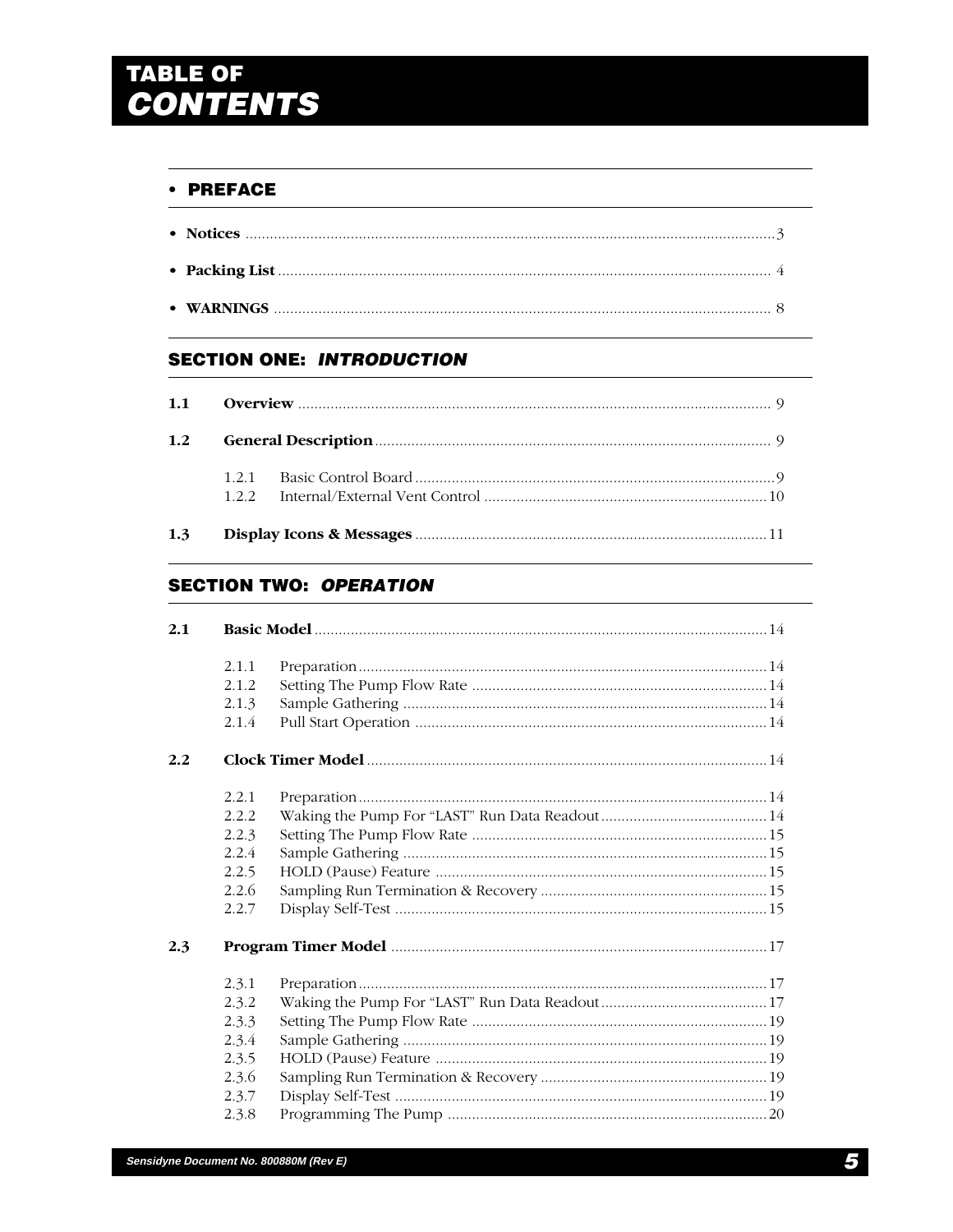# TABLE OF<br>**CONTENTS**

# • PREFACE

# **SECTION ONE: INTRODUCTION**

| 1.1           |  |
|---------------|--|
| $1.2^{\circ}$ |  |
|               |  |
| 1.3           |  |

# **SECTION TWO: OPERATION**

| 2.1 |        |  |
|-----|--------|--|
|     | 2.1.1  |  |
|     | 2.1.2  |  |
|     | 2.1.3  |  |
|     | 2.1.4  |  |
| 2.2 |        |  |
|     | 2.2.1  |  |
|     | 2.2.2. |  |
|     | 2.2.3  |  |
|     | 2.2.4  |  |
|     | 2.2.5  |  |
|     | 2.2.6  |  |
|     | 2.2.7  |  |
| 2.3 |        |  |
|     | 2.3.1  |  |
|     | 2.3.2  |  |
|     | 2.3.3  |  |
|     | 2.3.4  |  |
|     | 2.3.5  |  |
|     | 2.3.6  |  |
|     | 2.3.7  |  |
|     | 2.3.8  |  |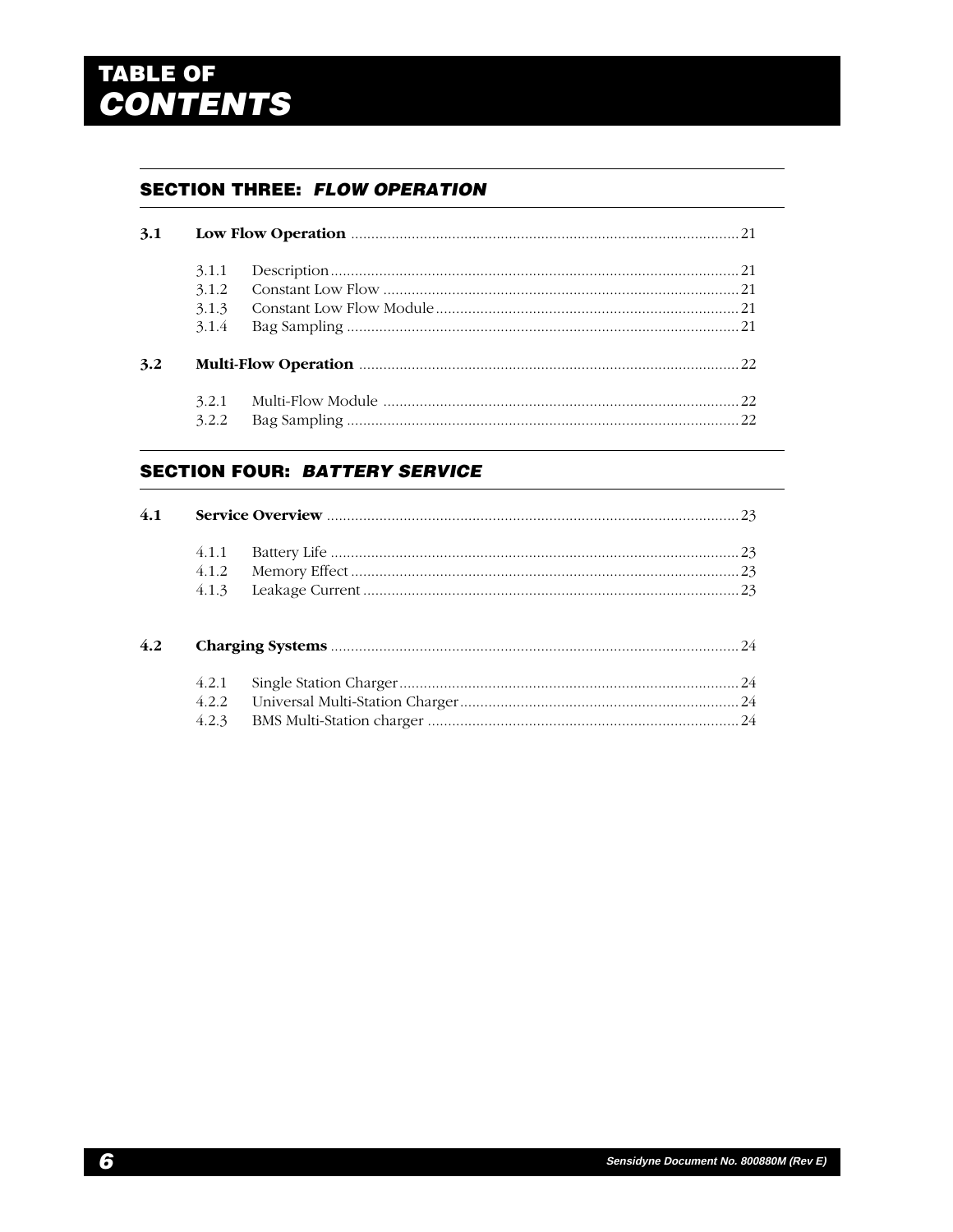# TABLE OF<br>**CONTENTS**

# **SECTION THREE: FLOW OPERATION**

| 3.1 |                                  |  |
|-----|----------------------------------|--|
|     | 3.1.1<br>3.1.2<br>3.1.3<br>3.1.4 |  |
| 3.2 |                                  |  |
|     | 3.2.1<br>3.2.2                   |  |

# **SECTION FOUR: BATTERY SERVICE**

| 4.1 |       |  |
|-----|-------|--|
|     | 4.1.1 |  |
|     | 4.1.2 |  |
|     | 4.1.3 |  |
| 4.2 |       |  |
|     | 4.2.1 |  |
|     | 4.2.2 |  |
|     | 4.2.3 |  |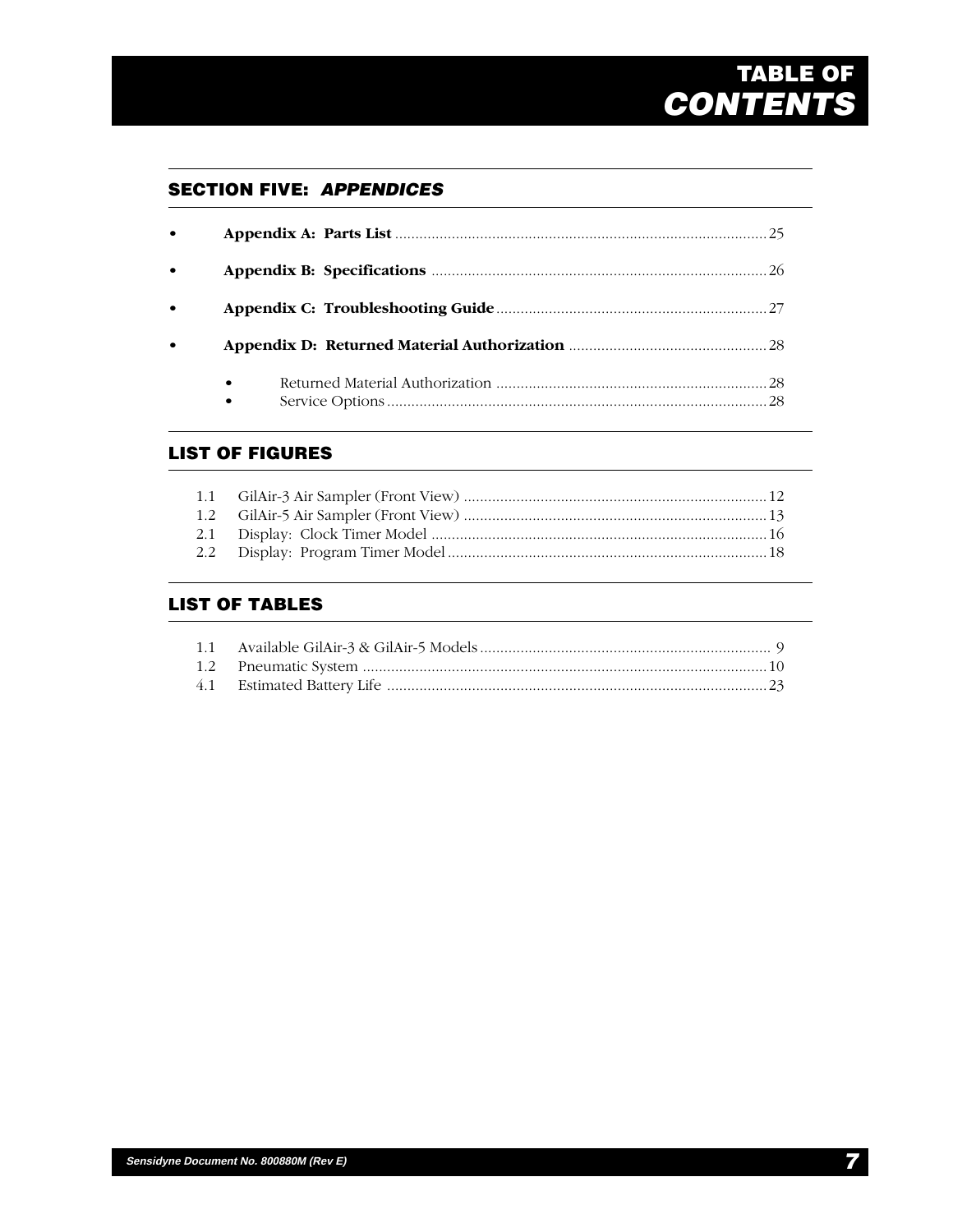# **GILIAN TABLE OF CONTENTS**

# **SECTION FIVE: APPENDICES**

| $\bullet$ |                        |
|-----------|------------------------|
| $\bullet$ |                        |
| $\bullet$ |                        |
| $\bullet$ |                        |
|           | $\bullet$<br>$\bullet$ |

# **LIST OF FIGURES**

# **LIST OF TABLES**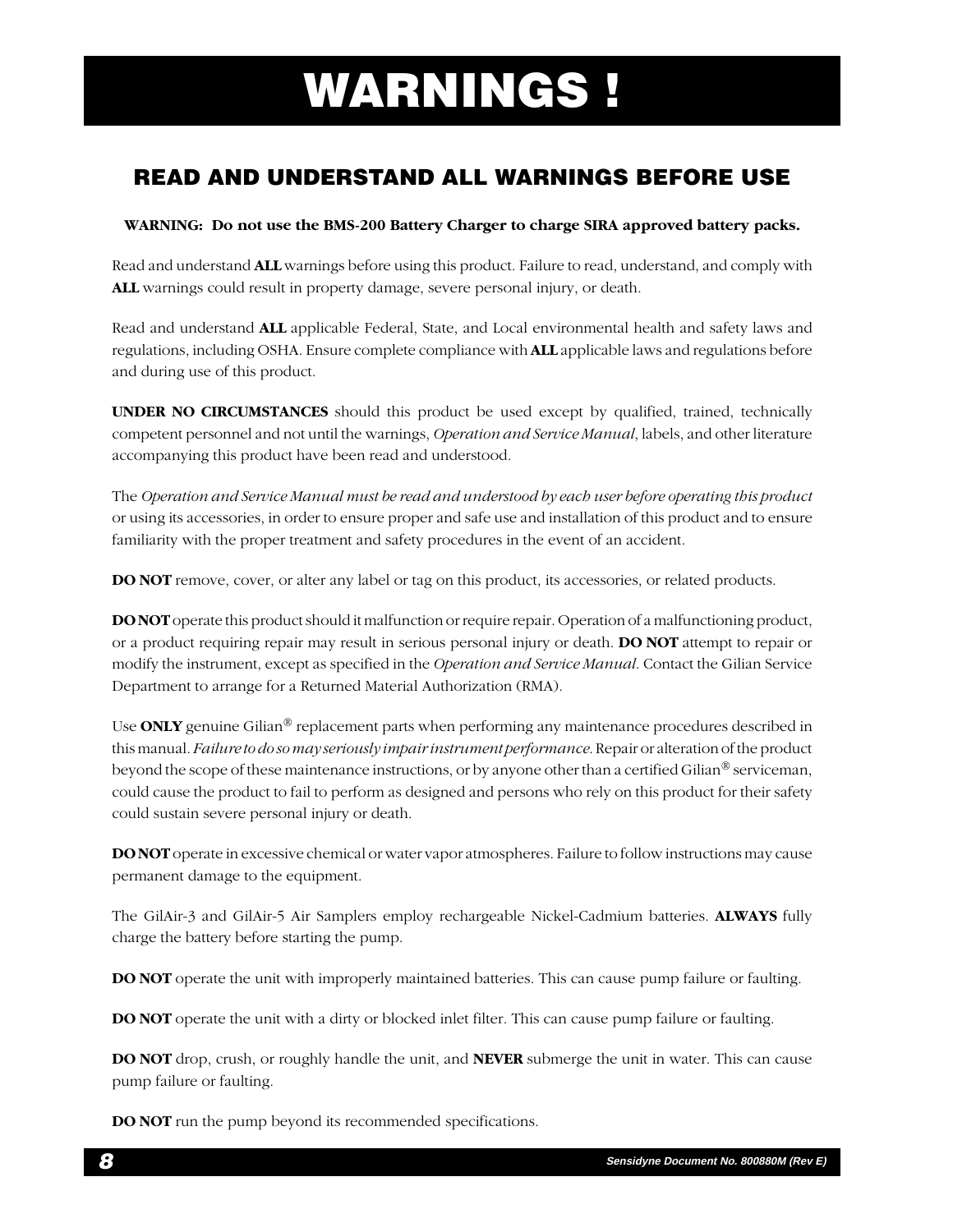# $\mathbf{W}$ **ARNINGS !**

# **READ AND UNDERSTAND ALL WARNINGS BEFORE USE**

# **WARNING: Do not use the BMS-200 Battery Charger to charge SIRA approved battery packs.**

Read and understand **ALL** warnings before using this product. Failure to read, understand, and comply with **ALL** warnings could result in property damage, severe personal injury, or death.

Read and understand **ALL** applicable Federal, State, and Local environmental health and safety laws and regulations, including OSHA. Ensure complete compliance with **ALL** applicable laws and regulations before and during use of this product.

**UNDER NO CIRCUMSTANCES** should this product be used except by qualified, trained, technically competent personnel and not until the warnings, *Operation and Service Manual*, labels, and other literature accompanying this product have been read and understood.

The *Operation and Service Manual must be read and understood by each user before operating this product* or using its accessories, in order to ensure proper and safe use and installation of this product and to ensure familiarity with the proper treatment and safety procedures in the event of an accident.

**DO NOT** remove, cover, or alter any label or tag on this product, its accessories, or related products.

**DO NOT** operate this product should it malfunction or require repair. Operation of a malfunctioning product, or a product requiring repair may result in serious personal injury or death. **DO NOT** attempt to repair or modify the instrument, except as specified in the *Operation and Service Manual*. Contact the Gilian Service Department to arrange for a Returned Material Authorization (RMA).

Use **ONLY** genuine Gilian® replacement parts when performing any maintenance procedures described in this manual. *Failure to do so may seriously impair instrument performance*. Repair or alteration of the product beyond the scope of these maintenance instructions, or by anyone other than a certified Gilian<sup>®</sup> serviceman, could cause the product to fail to perform as designed and persons who rely on this product for their safety could sustain severe personal injury or death.

**DO NOT** operate in excessive chemical or water vapor atmospheres. Failure to follow instructions may cause permanent damage to the equipment.

The GilAir-3 and GilAir-5 Air Samplers employ rechargeable Nickel-Cadmium batteries. **ALWAYS** fully charge the battery before starting the pump.

**DO NOT** operate the unit with improperly maintained batteries. This can cause pump failure or faulting.

**DO NOT** operate the unit with a dirty or blocked inlet filter. This can cause pump failure or faulting.

**DO NOT** drop, crush, or roughly handle the unit, and **NEVER** submerge the unit in water. This can cause pump failure or faulting.

**DO NOT** run the pump beyond its recommended specifications.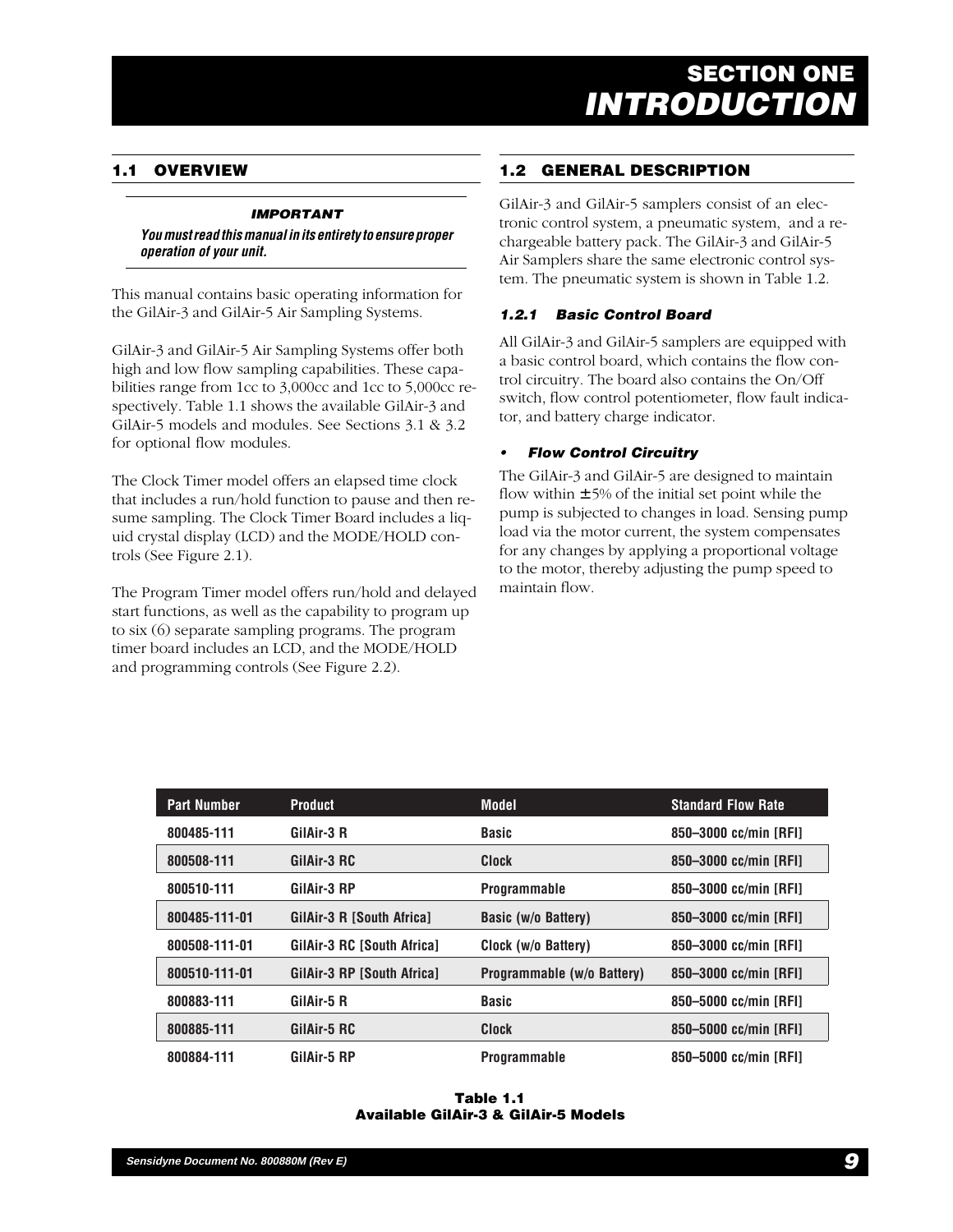# **1.1 OVERVIEW**

## **IMPORTANT**

**You must read this manual in its entirety to ensure proper operation of your unit.**

This manual contains basic operating information for the GilAir-3 and GilAir-5 Air Sampling Systems.

GilAir-3 and GilAir-5 Air Sampling Systems offer both high and low flow sampling capabilities. These capabilities range from 1cc to 3,000cc and 1cc to 5,000cc respectively. Table 1.1 shows the available GilAir-3 and GilAir-5 models and modules. See Sections 3.1 & 3.2 for optional flow modules.

The Clock Timer model offers an elapsed time clock that includes a run/hold function to pause and then resume sampling. The Clock Timer Board includes a liquid crystal display (LCD) and the MODE/HOLD controls (See Figure 2.1).

The Program Timer model offers run/hold and delayed start functions, as well as the capability to program up to six (6) separate sampling programs. The program timer board includes an LCD, and the MODE/HOLD and programming controls (See Figure 2.2).

# **1.2 GENERAL DESCRIPTION**

GilAir-3 and GilAir-5 samplers consist of an electronic control system, a pneumatic system, and a rechargeable battery pack. The GilAir-3 and GilAir-5 Air Samplers share the same electronic control system. The pneumatic system is shown in Table 1.2.

## **1.2.1 Basic Control Board**

All GilAir-3 and GilAir-5 samplers are equipped with a basic control board, which contains the flow control circuitry. The board also contains the On/Off switch, flow control potentiometer, flow fault indicator, and battery charge indicator.

#### **• Flow Control Circuitry**

The GilAir-3 and GilAir-5 are designed to maintain flow within  $\pm$  5% of the initial set point while the pump is subjected to changes in load. Sensing pump load via the motor current, the system compensates for any changes by applying a proportional voltage to the motor, thereby adjusting the pump speed to maintain flow.

| <b>Part Number</b> | <b>Product</b>                    | <b>Model</b>               | <b>Standard Flow Rate</b> |
|--------------------|-----------------------------------|----------------------------|---------------------------|
| 800485-111         | GilAir-3 R                        | <b>Basic</b>               | 850-3000 cc/min [RFI]     |
| 800508-111         | GilAir-3 RC                       | <b>Clock</b>               | 850-3000 cc/min [RFI]     |
| 800510-111         | GilAir-3 RP                       | <b>Programmable</b>        | 850-3000 cc/min [RFI]     |
| 800485-111-01      | GilAir-3 R [South Africa]         | Basic (w/o Battery)        | 850-3000 cc/min [RFI]     |
| 800508-111-01      | <b>GilAir-3 RC [South Africa]</b> | Clock (w/o Battery)        | 850-3000 cc/min [RFI]     |
| 800510-111-01      | <b>GilAir-3 RP [South Africa]</b> | Programmable (w/o Battery) | 850-3000 cc/min [RFI]     |
| 800883-111         | GilAir-5 R                        | <b>Basic</b>               | 850-5000 cc/min [RFI]     |
| 800885-111         | GilAir-5 RC                       | <b>Clock</b>               | 850-5000 cc/min [RFI]     |
| 800884-111         | GilAir-5 RP                       | <b>Programmable</b>        | 850-5000 cc/min [RFI]     |

**Table 1.1 Available GilAir-3 & GilAir-5 Models**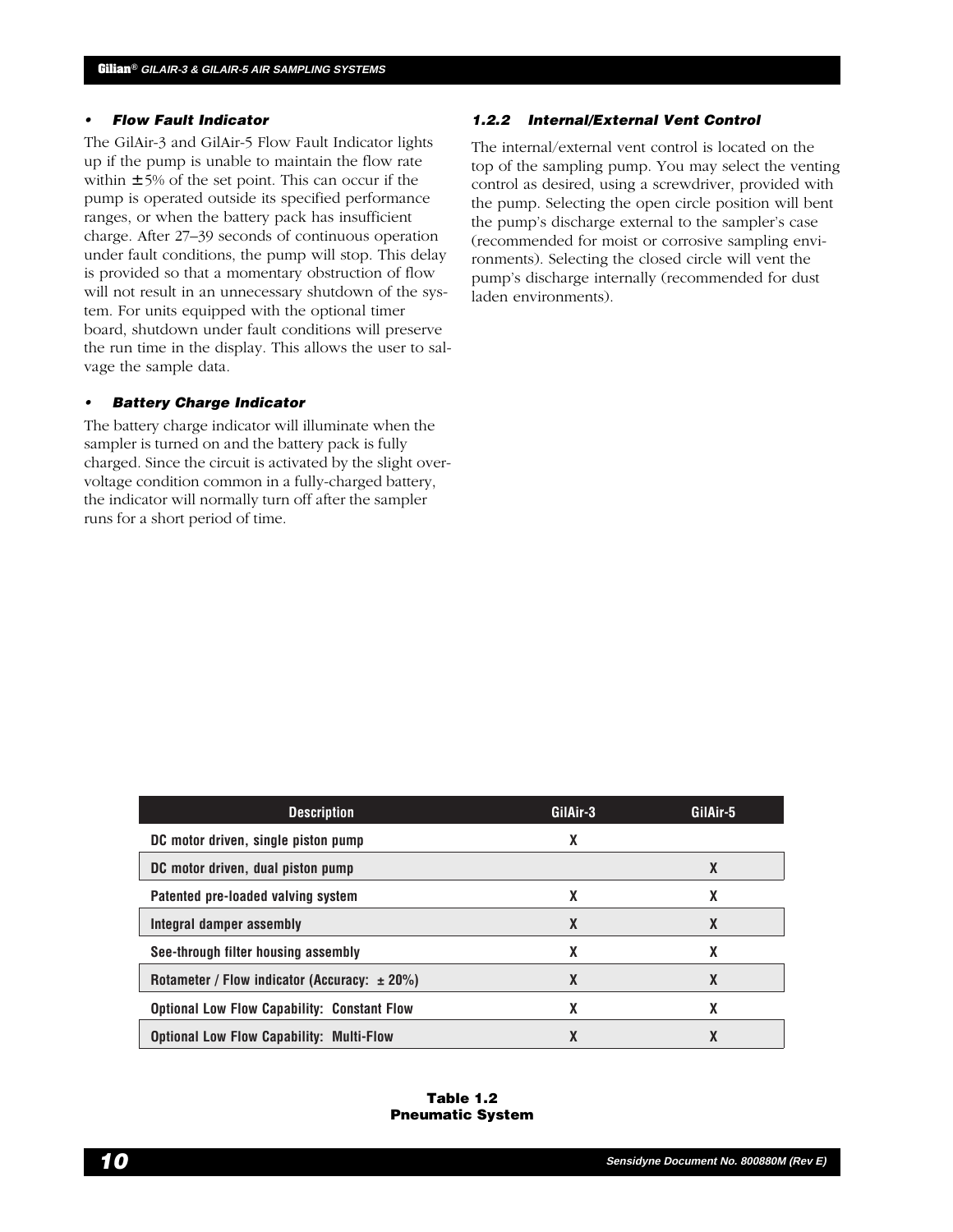#### **• Flow Fault Indicator**

The GilAir-3 and GilAir-5 Flow Fault Indicator lights up if the pump is unable to maintain the flow rate within  $\pm$  5% of the set point. This can occur if the pump is operated outside its specified performance ranges, or when the battery pack has insufficient charge. After 27–39 seconds of continuous operation under fault conditions, the pump will stop. This delay is provided so that a momentary obstruction of flow will not result in an unnecessary shutdown of the system. For units equipped with the optional timer board, shutdown under fault conditions will preserve the run time in the display. This allows the user to salvage the sample data.

#### **• Battery Charge Indicator**

The battery charge indicator will illuminate when the sampler is turned on and the battery pack is fully charged. Since the circuit is activated by the slight overvoltage condition common in a fully-charged battery, the indicator will normally turn off after the sampler runs for a short period of time.

## **1.2.2 Internal/External Vent Control**

The internal/external vent control is located on the top of the sampling pump. You may select the venting control as desired, using a screwdriver, provided with the pump. Selecting the open circle position will bent the pump's discharge external to the sampler's case (recommended for moist or corrosive sampling environments). Selecting the closed circle will vent the pump's discharge internally (recommended for dust laden environments).

| <b>Description</b>                                 | GilAir-3 | GilAir-5 |
|----------------------------------------------------|----------|----------|
| DC motor driven, single piston pump                | X        |          |
| DC motor driven, dual piston pump                  |          | X        |
| Patented pre-loaded valving system                 | X        | X        |
| Integral damper assembly                           | X        | X        |
| See-through filter housing assembly                | X        | X        |
| Rotameter / Flow indicator (Accuracy: $\pm 20\%$ ) | X        | X        |
| <b>Optional Low Flow Capability: Constant Flow</b> | X        | χ        |
| <b>Optional Low Flow Capability: Multi-Flow</b>    | χ        | χ        |

**Table 1.2 Pneumatic System**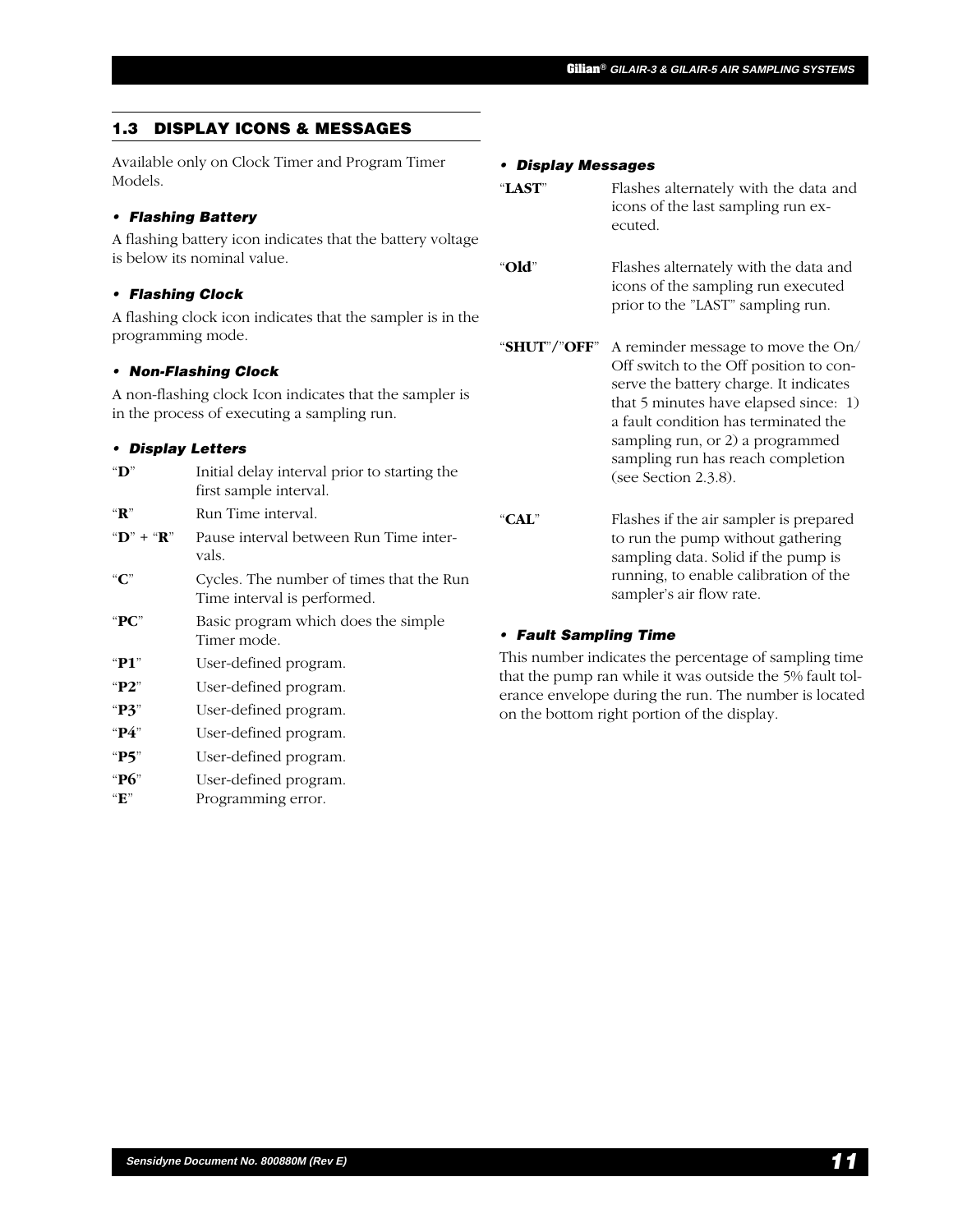## **1.3 DISPLAY ICONS & MESSAGES**

Available only on Clock Timer and Program Timer Models.

#### **• Flashing Battery**

A flashing battery icon indicates that the battery voltage is below its nominal value.

#### **• Flashing Clock**

A flashing clock icon indicates that the sampler is in the programming mode.

#### **• Non-Flashing Clock**

A non-flashing clock Icon indicates that the sampler is in the process of executing a sampling run.

#### **• Display Letters**

| " $D$ "                             | Initial delay interval prior to starting the<br>first sample interval.  |
|-------------------------------------|-------------------------------------------------------------------------|
| " $\mathbf{R}$ "                    | Run Time interval.                                                      |
| " $\mathbf{D}$ " + " $\mathbf{R}$ " | Pause interval between Run Time inter-<br>vals.                         |
| ``C"                                | Cycles. The number of times that the Run<br>Time interval is performed. |
| " $PC$ "                            | Basic program which does the simple<br>Timer mode.                      |
| " $P1$ "                            | User-defined program.                                                   |
| " $P2"$                             | User-defined program.                                                   |
| " $P3$ "                            | User-defined program.                                                   |
| " $P4$ "                            | User-defined program.                                                   |
| " $P5$ "                            | User-defined program.                                                   |
| " $P6$ "<br>$\mathbf{H}^n$          | User-defined program.<br>Programming error.                             |

#### **• Display Messages**

| "LAST" | Flashes alternately with the data and |
|--------|---------------------------------------|
|        | icons of the last sampling run ex-    |
|        | ecuted.                               |

"**Old**" Flashes alternately with the data and icons of the sampling run executed prior to the "LAST" sampling run.

"**SHUT**"**/**"**OFF**" A reminder message to move the On/ Off switch to the Off position to conserve the battery charge. It indicates that 5 minutes have elapsed since: 1) a fault condition has terminated the sampling run, or 2) a programmed sampling run has reach completion (see Section 2.3.8).

"**CAL**" Flashes if the air sampler is prepared to run the pump without gathering sampling data. Solid if the pump is running, to enable calibration of the sampler's air flow rate.

#### **• Fault Sampling Time**

This number indicates the percentage of sampling time that the pump ran while it was outside the 5% fault tolerance envelope during the run. The number is located on the bottom right portion of the display.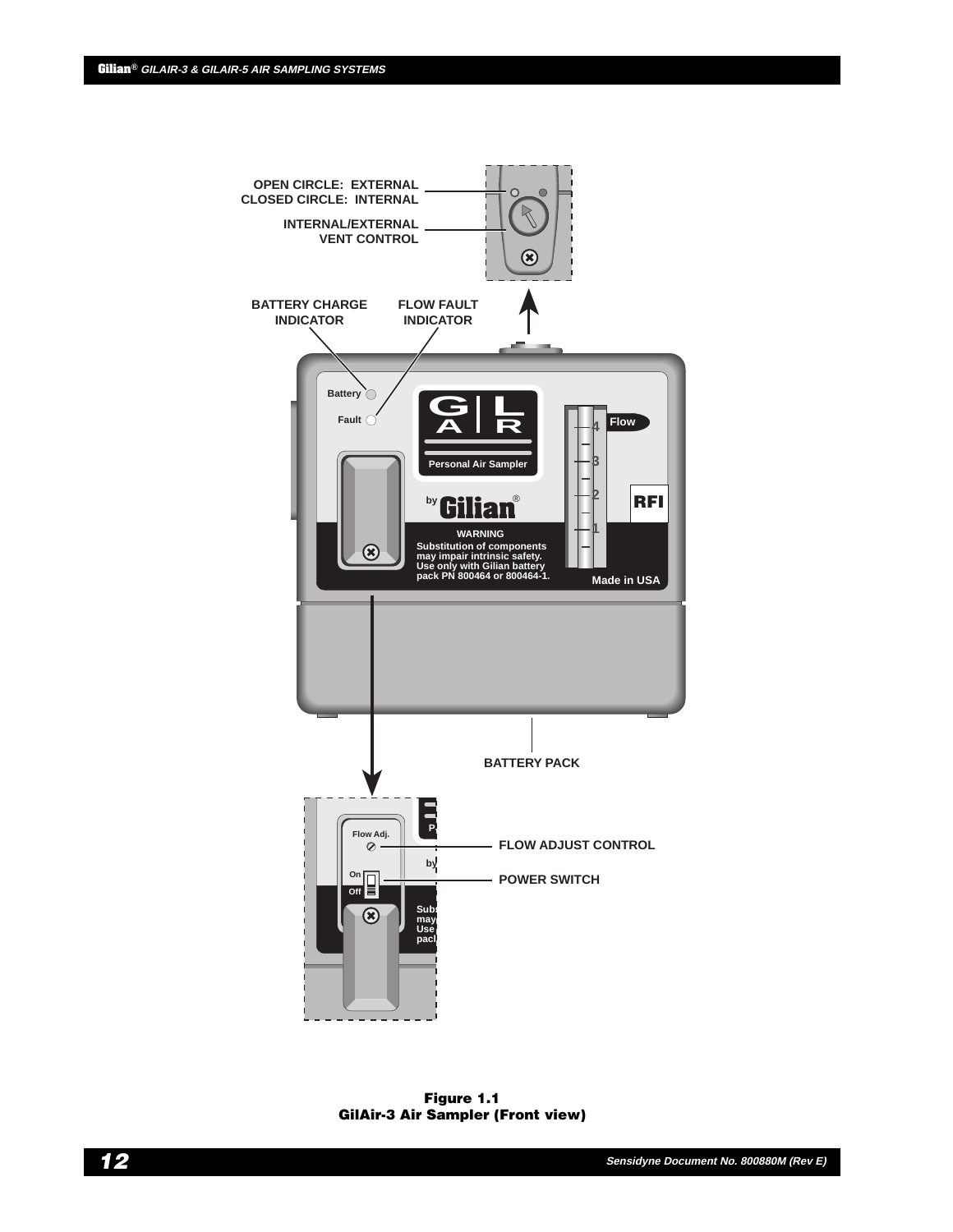

**Figure 1.1 GilAir-3 Air Sampler (Front view)**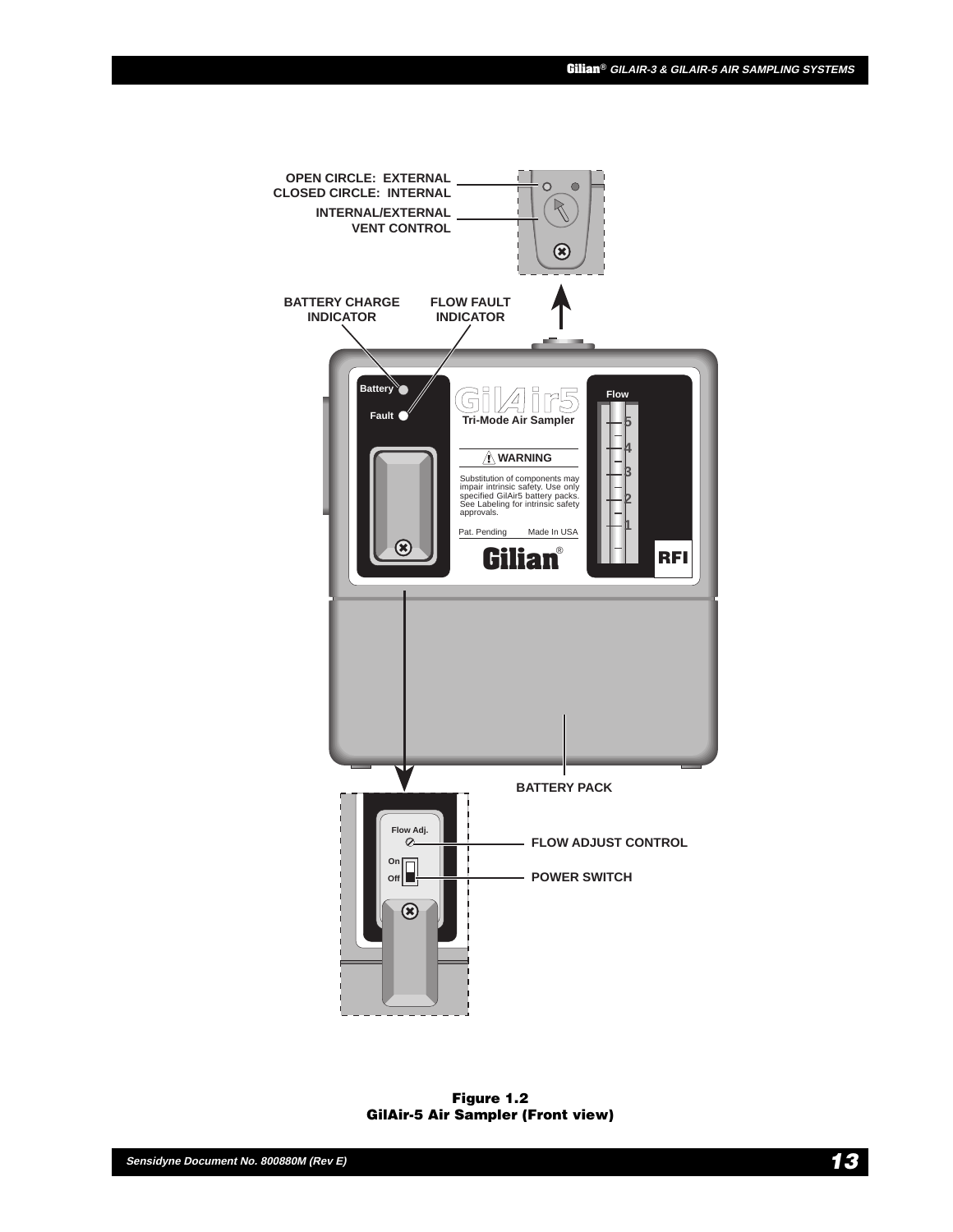

**Figure 1.2 GilAir-5 Air Sampler (Front view)**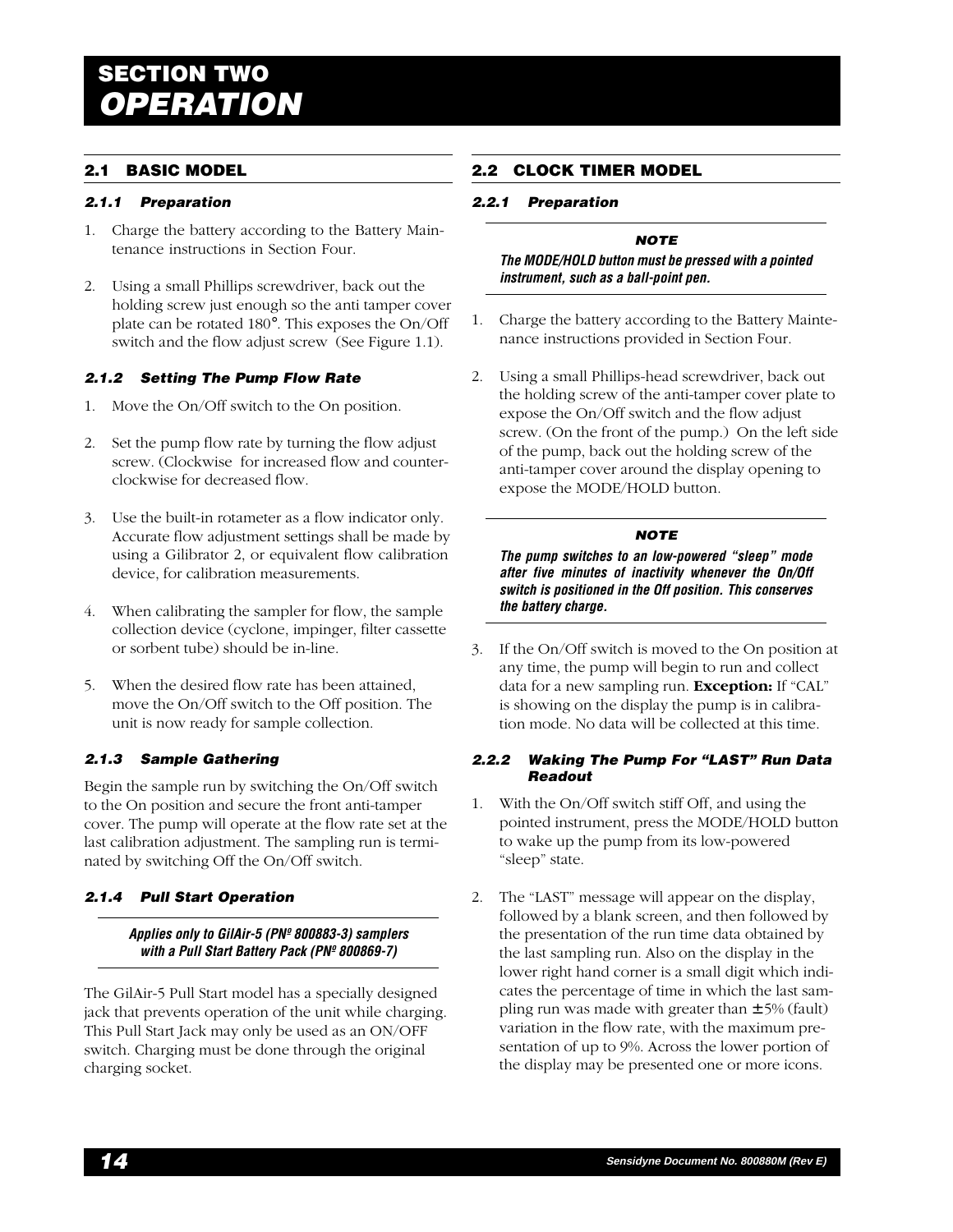# **Gilian® GILAIR-3 & GILAIR-5 AIR SAMPLING SYSTEMS SECTION TWO OPERATION**

# **2.1 BASIC MODEL**

## **2.1.1 Preparation**

- 1. Charge the battery according to the Battery Maintenance instructions in Section Four.
- 2. Using a small Phillips screwdriver, back out the holding screw just enough so the anti tamper cover plate can be rotated 180°. This exposes the On/Off switch and the flow adjust screw (See Figure 1.1).

## **2.1.2 Setting The Pump Flow Rate**

- 1. Move the On/Off switch to the On position.
- 2. Set the pump flow rate by turning the flow adjust screw. (Clockwise for increased flow and counterclockwise for decreased flow.
- 3. Use the built-in rotameter as a flow indicator only. Accurate flow adjustment settings shall be made by using a Gilibrator 2, or equivalent flow calibration device, for calibration measurements.
- 4. When calibrating the sampler for flow, the sample collection device (cyclone, impinger, filter cassette or sorbent tube) should be in-line.
- 5. When the desired flow rate has been attained, move the On/Off switch to the Off position. The unit is now ready for sample collection.

# **2.1.3 Sample Gathering**

Begin the sample run by switching the On/Off switch to the On position and secure the front anti-tamper cover. The pump will operate at the flow rate set at the last calibration adjustment. The sampling run is terminated by switching Off the On/Off switch.

# **2.1.4 Pull Start Operation**

**Applies only to GilAir-5 (PNº 800883-3) samplers with a Pull Start Battery Pack (PNº 800869-7)**

The GilAir-5 Pull Start model has a specially designed jack that prevents operation of the unit while charging. This Pull Start Jack may only be used as an ON/OFF switch. Charging must be done through the original charging socket.

# **2.2 CLOCK TIMER MODEL**

#### **2.2.1 Preparation**

## **NOTE**

**The MODE/HOLD button must be pressed with a pointed instrument, such as a ball-point pen.**

- 1. Charge the battery according to the Battery Maintenance instructions provided in Section Four.
- 2. Using a small Phillips-head screwdriver, back out the holding screw of the anti-tamper cover plate to expose the On/Off switch and the flow adjust screw. (On the front of the pump.) On the left side of the pump, back out the holding screw of the anti-tamper cover around the display opening to expose the MODE/HOLD button.

#### **NOTE**

**The pump switches to an low-powered "sleep" mode after five minutes of inactivity whenever the On/Off switch is positioned in the Off position. This conserves the battery charge.**

3. If the On/Off switch is moved to the On position at any time, the pump will begin to run and collect data for a new sampling run. **Exception:** If "CAL" is showing on the display the pump is in calibration mode. No data will be collected at this time.

#### **2.2.2 Waking The Pump For "LAST" Run Data Readout**

- 1. With the On/Off switch stiff Off, and using the pointed instrument, press the MODE/HOLD button to wake up the pump from its low-powered "sleep" state.
- 2. The "LAST" message will appear on the display, followed by a blank screen, and then followed by the presentation of the run time data obtained by the last sampling run. Also on the display in the lower right hand corner is a small digit which indicates the percentage of time in which the last sampling run was made with greater than  $\pm$  5% (fault) variation in the flow rate, with the maximum presentation of up to 9%. Across the lower portion of the display may be presented one or more icons.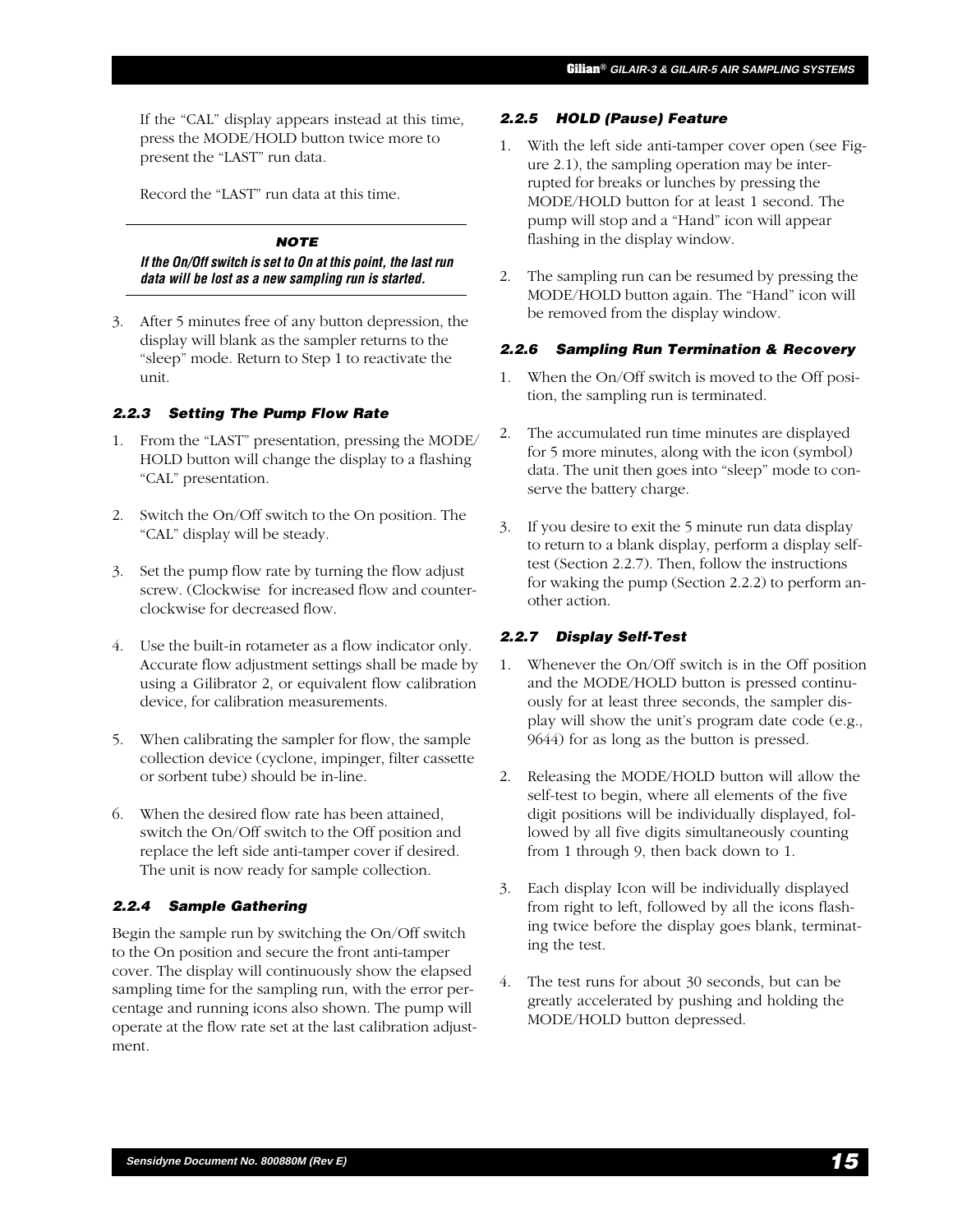If the "CAL" display appears instead at this time, press the MODE/HOLD button twice more to present the "LAST" run data.

Record the "LAST" run data at this time.

#### **NOTE**

**If the On/Off switch is set to On at this point, the last run data will be lost as a new sampling run is started.**

3. After 5 minutes free of any button depression, the display will blank as the sampler returns to the "sleep" mode. Return to Step 1 to reactivate the unit.

#### **2.2.3 Setting The Pump Flow Rate**

- 1. From the "LAST" presentation, pressing the MODE/ HOLD button will change the display to a flashing "CAL" presentation.
- 2. Switch the On/Off switch to the On position. The "CAL" display will be steady.
- 3. Set the pump flow rate by turning the flow adjust screw. (Clockwise for increased flow and counterclockwise for decreased flow.
- 4. Use the built-in rotameter as a flow indicator only. Accurate flow adjustment settings shall be made by using a Gilibrator 2, or equivalent flow calibration device, for calibration measurements.
- 5. When calibrating the sampler for flow, the sample collection device (cyclone, impinger, filter cassette or sorbent tube) should be in-line.
- 6. When the desired flow rate has been attained, switch the On/Off switch to the Off position and replace the left side anti-tamper cover if desired. The unit is now ready for sample collection.

## **2.2.4 Sample Gathering**

Begin the sample run by switching the On/Off switch to the On position and secure the front anti-tamper cover. The display will continuously show the elapsed sampling time for the sampling run, with the error percentage and running icons also shown. The pump will operate at the flow rate set at the last calibration adjustment.

#### **2.2.5 HOLD (Pause) Feature**

- 1. With the left side anti-tamper cover open (see Figure 2.1), the sampling operation may be interrupted for breaks or lunches by pressing the MODE/HOLD button for at least 1 second. The pump will stop and a "Hand" icon will appear flashing in the display window.
- 2. The sampling run can be resumed by pressing the MODE/HOLD button again. The "Hand" icon will be removed from the display window.

## **2.2.6 Sampling Run Termination & Recovery**

- 1. When the On/Off switch is moved to the Off position, the sampling run is terminated.
- 2. The accumulated run time minutes are displayed for 5 more minutes, along with the icon (symbol) data. The unit then goes into "sleep" mode to conserve the battery charge.
- 3. If you desire to exit the 5 minute run data display to return to a blank display, perform a display selftest (Section 2.2.7). Then, follow the instructions for waking the pump (Section 2.2.2) to perform another action.

## **2.2.7 Display Self-Test**

- 1. Whenever the On/Off switch is in the Off position and the MODE/HOLD button is pressed continuously for at least three seconds, the sampler display will show the unit's program date code (e.g., 9644) for as long as the button is pressed.
- 2. Releasing the MODE/HOLD button will allow the self-test to begin, where all elements of the five digit positions will be individually displayed, followed by all five digits simultaneously counting from 1 through 9, then back down to 1.
- 3. Each display Icon will be individually displayed from right to left, followed by all the icons flashing twice before the display goes blank, terminating the test.
- 4. The test runs for about 30 seconds, but can be greatly accelerated by pushing and holding the MODE/HOLD button depressed.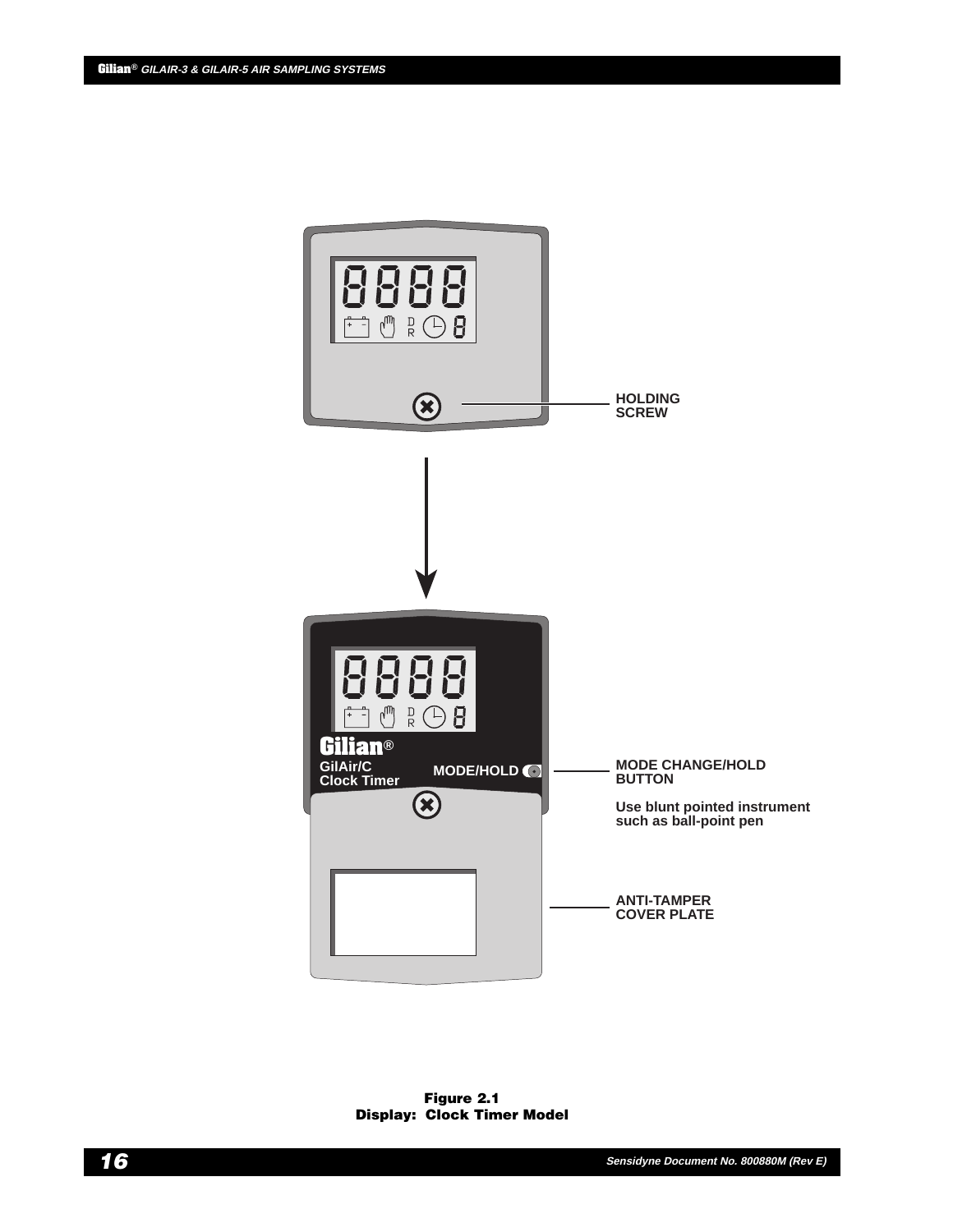

**Figure 2.1 Display: Clock Timer Model**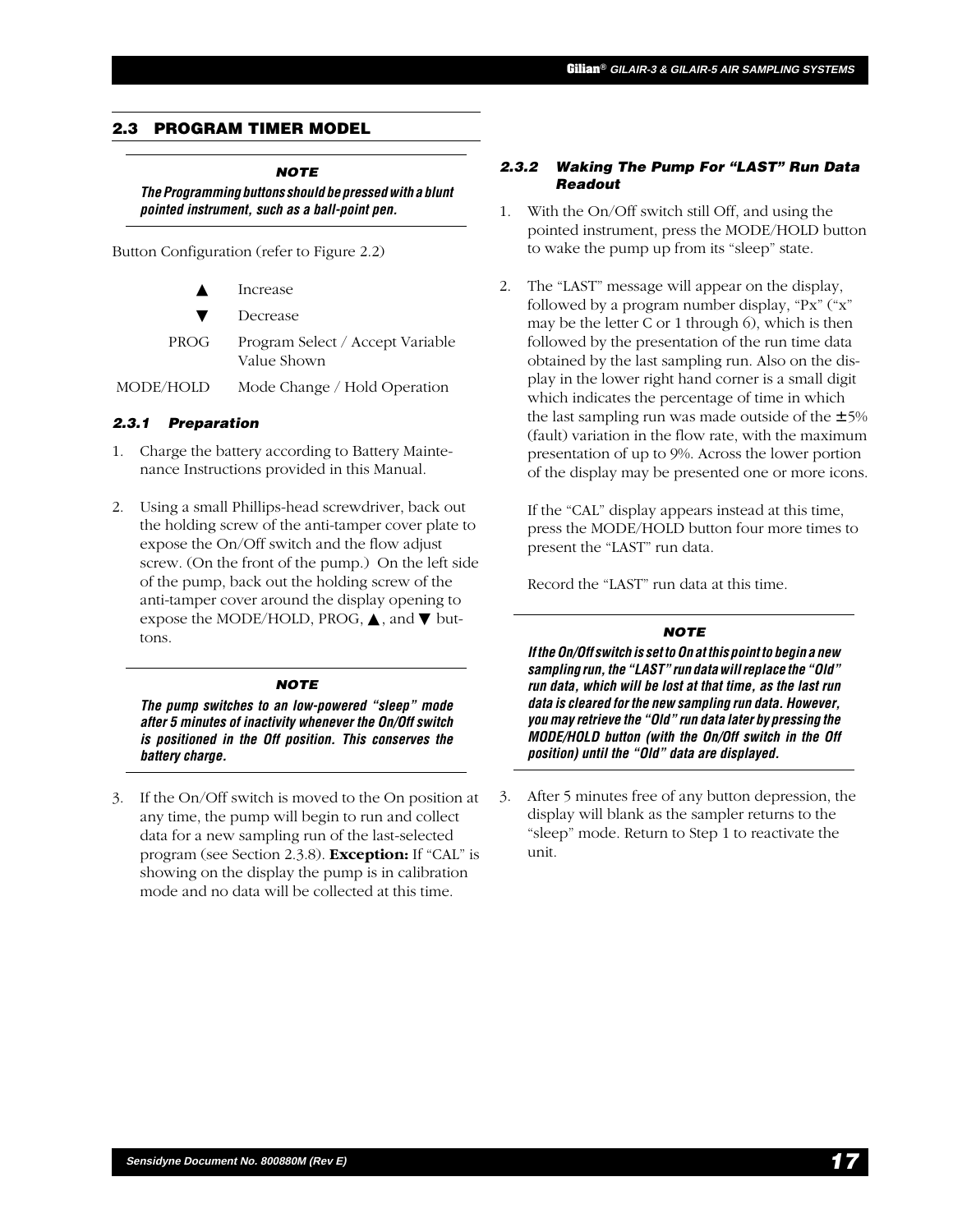#### **Gilian® GILAIR-3 & GILAIR-5 AIR SAMPLING SYSTEMS**

# **2.3 PROGRAM TIMER MODEL**

#### **NOTE The Programming buttons should be pressed with a blunt pointed instrument, such as a ball-point pen.**

Button Configuration (refer to Figure 2.2)

| $\blacktriangle$ | Increase                                        |
|------------------|-------------------------------------------------|
| $\mathbf v$      | Decrease                                        |
| PROG             | Program Select / Accept Variable<br>Value Shown |

MODE/HOLD Mode Change / Hold Operation

## **2.3.1 Preparation**

- 1. Charge the battery according to Battery Maintenance Instructions provided in this Manual.
- 2. Using a small Phillips-head screwdriver, back out the holding screw of the anti-tamper cover plate to expose the On/Off switch and the flow adjust screw. (On the front of the pump.) On the left side of the pump, back out the holding screw of the anti-tamper cover around the display opening to expose the MODE/HOLD, PROG,  $\blacktriangle$ , and  $\nabla$  buttons.

## **NOTE**

**The pump switches to an low-powered "sleep" mode after 5 minutes of inactivity whenever the On/Off switch is positioned in the Off position. This conserves the battery charge.**

3. If the On/Off switch is moved to the On position at any time, the pump will begin to run and collect data for a new sampling run of the last-selected program (see Section 2.3.8). **Exception:** If "CAL" is showing on the display the pump is in calibration mode and no data will be collected at this time.

#### **2.3.2 Waking The Pump For "LAST" Run Data Readout**

- 1. With the On/Off switch still Off, and using the pointed instrument, press the MODE/HOLD button to wake the pump up from its "sleep" state.
- 2. The "LAST" message will appear on the display, followed by a program number display, "Px" ("x" may be the letter C or 1 through 6), which is then followed by the presentation of the run time data obtained by the last sampling run. Also on the display in the lower right hand corner is a small digit which indicates the percentage of time in which the last sampling run was made outside of the  $\pm$  5% (fault) variation in the flow rate, with the maximum presentation of up to 9%. Across the lower portion of the display may be presented one or more icons.

If the "CAL" display appears instead at this time, press the MODE/HOLD button four more times to present the "LAST" run data.

Record the "LAST" run data at this time.

#### **NOTE**

**If the On/Off switch is set to On at this point to begin a new sampling run, the "LAST" run data will replace the "Old" run data, which will be lost at that time, as the last run data is cleared for the new sampling run data. However, you may retrieve the "Old" run data later by pressing the MODE/HOLD button (with the On/Off switch in the Off position) until the "Old" data are displayed.**

3. After 5 minutes free of any button depression, the display will blank as the sampler returns to the "sleep" mode. Return to Step 1 to reactivate the unit.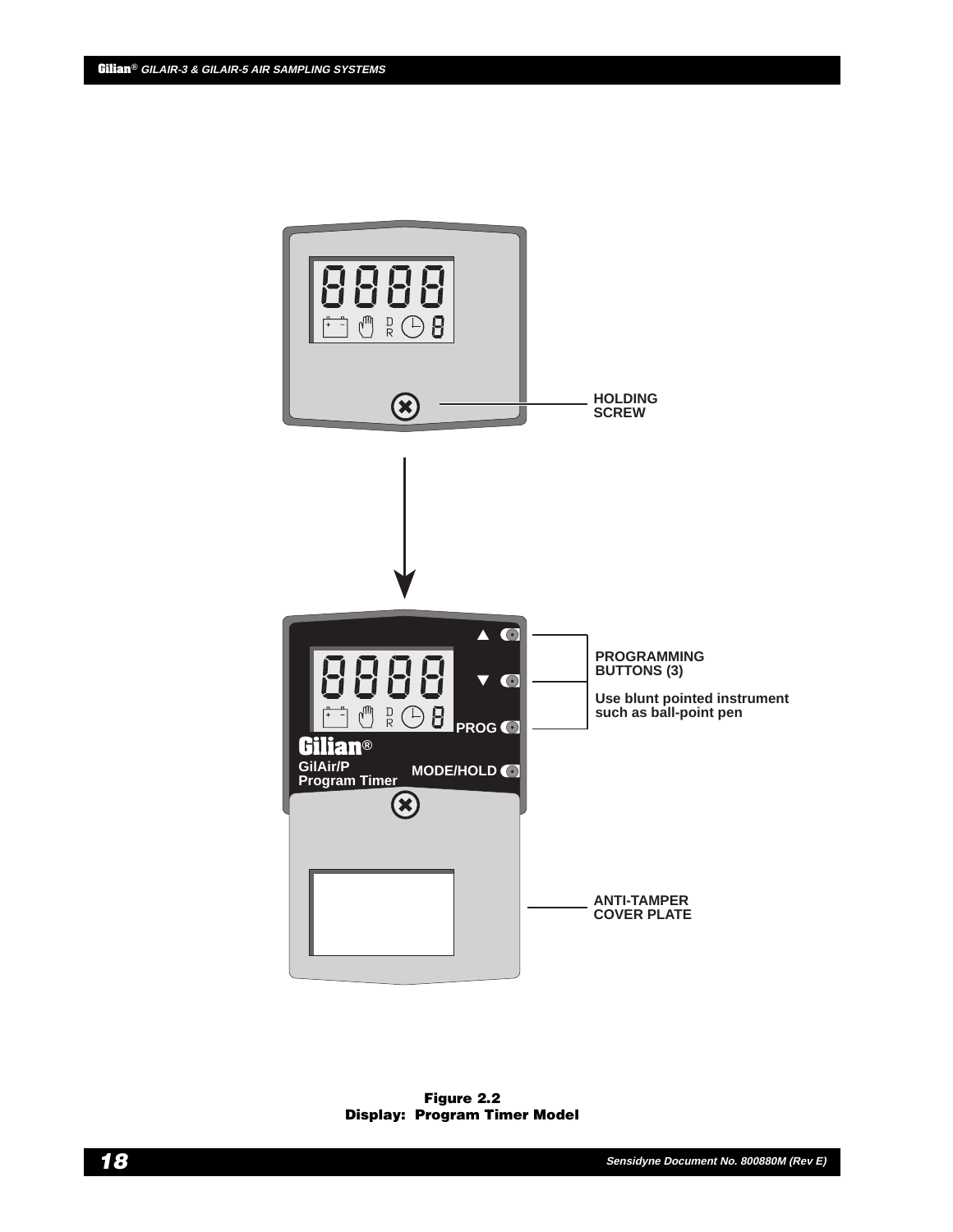

**Figure 2.2 Display: Program Timer Model**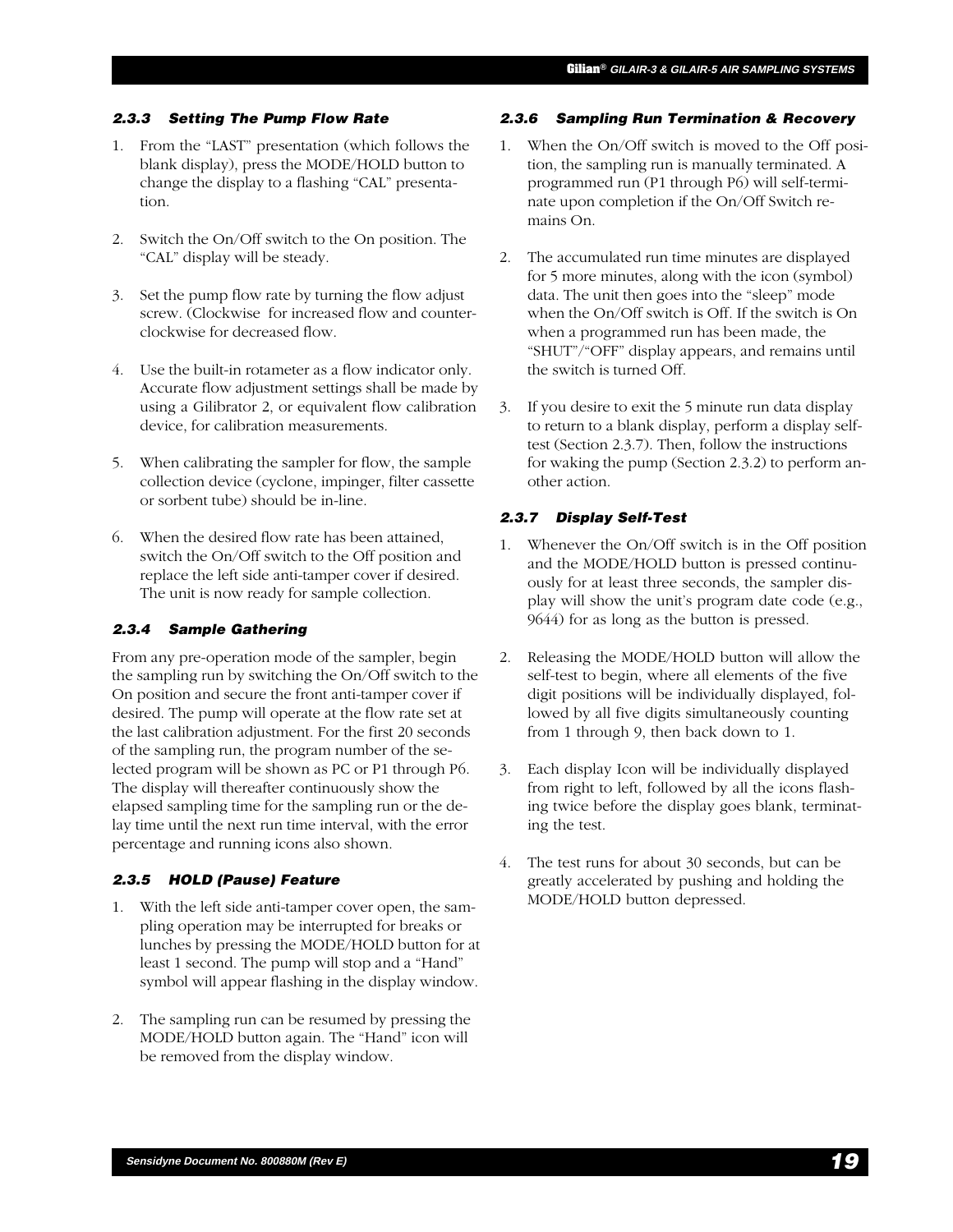#### **2.3.3 Setting The Pump Flow Rate**

- 1. From the "LAST" presentation (which follows the blank display), press the MODE/HOLD button to change the display to a flashing "CAL" presentation.
- 2. Switch the On/Off switch to the On position. The "CAL" display will be steady.
- 3. Set the pump flow rate by turning the flow adjust screw. (Clockwise for increased flow and counterclockwise for decreased flow.
- 4. Use the built-in rotameter as a flow indicator only. Accurate flow adjustment settings shall be made by using a Gilibrator 2, or equivalent flow calibration device, for calibration measurements.
- 5. When calibrating the sampler for flow, the sample collection device (cyclone, impinger, filter cassette or sorbent tube) should be in-line.
- 6. When the desired flow rate has been attained, switch the On/Off switch to the Off position and replace the left side anti-tamper cover if desired. The unit is now ready for sample collection.

#### **2.3.4 Sample Gathering**

From any pre-operation mode of the sampler, begin the sampling run by switching the On/Off switch to the On position and secure the front anti-tamper cover if desired. The pump will operate at the flow rate set at the last calibration adjustment. For the first 20 seconds of the sampling run, the program number of the selected program will be shown as PC or P1 through P6. The display will thereafter continuously show the elapsed sampling time for the sampling run or the delay time until the next run time interval, with the error percentage and running icons also shown.

#### **2.3.5 HOLD (Pause) Feature**

- 1. With the left side anti-tamper cover open, the sampling operation may be interrupted for breaks or lunches by pressing the MODE/HOLD button for at least 1 second. The pump will stop and a "Hand" symbol will appear flashing in the display window.
- 2. The sampling run can be resumed by pressing the MODE/HOLD button again. The "Hand" icon will be removed from the display window.

#### **2.3.6 Sampling Run Termination & Recovery**

- 1. When the On/Off switch is moved to the Off position, the sampling run is manually terminated. A programmed run (P1 through P6) will self-terminate upon completion if the On/Off Switch remains On.
- 2. The accumulated run time minutes are displayed for 5 more minutes, along with the icon (symbol) data. The unit then goes into the "sleep" mode when the On/Off switch is Off. If the switch is On when a programmed run has been made, the "SHUT"/"OFF" display appears, and remains until the switch is turned Off.
- 3. If you desire to exit the 5 minute run data display to return to a blank display, perform a display selftest (Section 2.3.7). Then, follow the instructions for waking the pump (Section 2.3.2) to perform another action.

#### **2.3.7 Display Self-Test**

- 1. Whenever the On/Off switch is in the Off position and the MODE/HOLD button is pressed continuously for at least three seconds, the sampler display will show the unit's program date code (e.g., 9644) for as long as the button is pressed.
- 2. Releasing the MODE/HOLD button will allow the self-test to begin, where all elements of the five digit positions will be individually displayed, followed by all five digits simultaneously counting from 1 through 9, then back down to 1.
- 3. Each display Icon will be individually displayed from right to left, followed by all the icons flashing twice before the display goes blank, terminating the test.
- 4. The test runs for about 30 seconds, but can be greatly accelerated by pushing and holding the MODE/HOLD button depressed.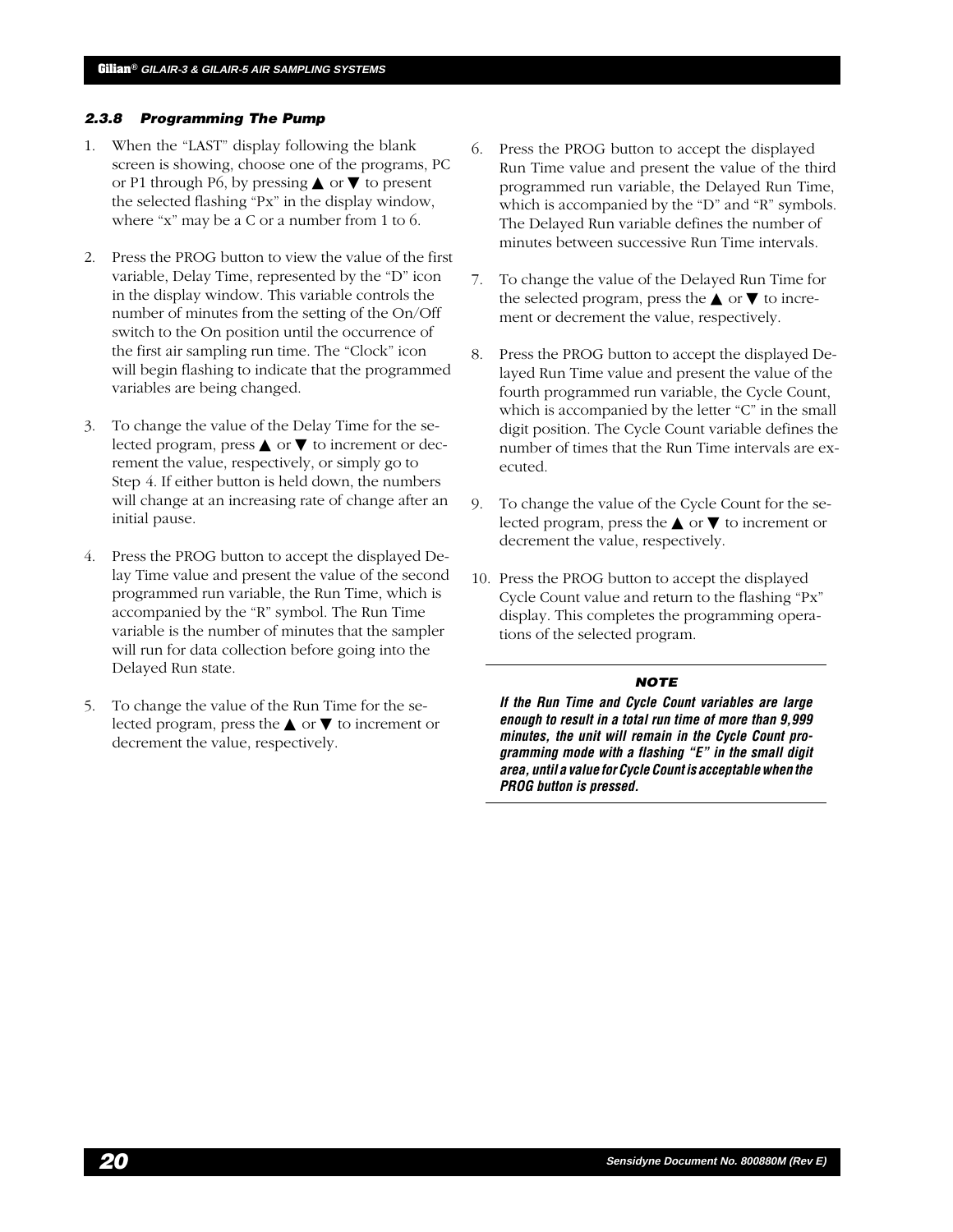#### **2.3.8 Programming The Pump**

- 1. When the "LAST" display following the blank screen is showing, choose one of the programs, PC or P1 through P6, by pressing **△** or  $\blacktriangledown$  to present the selected flashing "Px" in the display window, where "x" may be a C or a number from 1 to 6.
- 2. Press the PROG button to view the value of the first variable, Delay Time, represented by the "D" icon in the display window. This variable controls the number of minutes from the setting of the On/Off switch to the On position until the occurrence of the first air sampling run time. The "Clock" icon will begin flashing to indicate that the programmed variables are being changed.
- 3. To change the value of the Delay Time for the selected program, press  $\triangle$  or  $\nabla$  to increment or decrement the value, respectively, or simply go to Step 4. If either button is held down, the numbers will change at an increasing rate of change after an initial pause.
- 4. Press the PROG button to accept the displayed Delay Time value and present the value of the second programmed run variable, the Run Time, which is accompanied by the "R" symbol. The Run Time variable is the number of minutes that the sampler will run for data collection before going into the Delayed Run state.
- 5. To change the value of the Run Time for the selected program, press the  $\triangle$  or  $\nabla$  to increment or decrement the value, respectively.
- 6. Press the PROG button to accept the displayed Run Time value and present the value of the third programmed run variable, the Delayed Run Time, which is accompanied by the "D" and "R" symbols. The Delayed Run variable defines the number of minutes between successive Run Time intervals.
- 7. To change the value of the Delayed Run Time for the selected program, press the  $\triangle$  or  $\nabla$  to increment or decrement the value, respectively.
- 8. Press the PROG button to accept the displayed Delayed Run Time value and present the value of the fourth programmed run variable, the Cycle Count, which is accompanied by the letter "C" in the small digit position. The Cycle Count variable defines the number of times that the Run Time intervals are executed.
- 9. To change the value of the Cycle Count for the selected program, press the  $\triangle$  or  $\nabla$  to increment or decrement the value, respectively.
- 10. Press the PROG button to accept the displayed Cycle Count value and return to the flashing "Px" display. This completes the programming operations of the selected program.

#### **NOTE**

**If the Run Time and Cycle Count variables are large enough to result in a total run time of more than 9,999 minutes, the unit will remain in the Cycle Count programming mode with a flashing "E" in the small digit area, until a value for Cycle Count is acceptable when the PROG button is pressed.**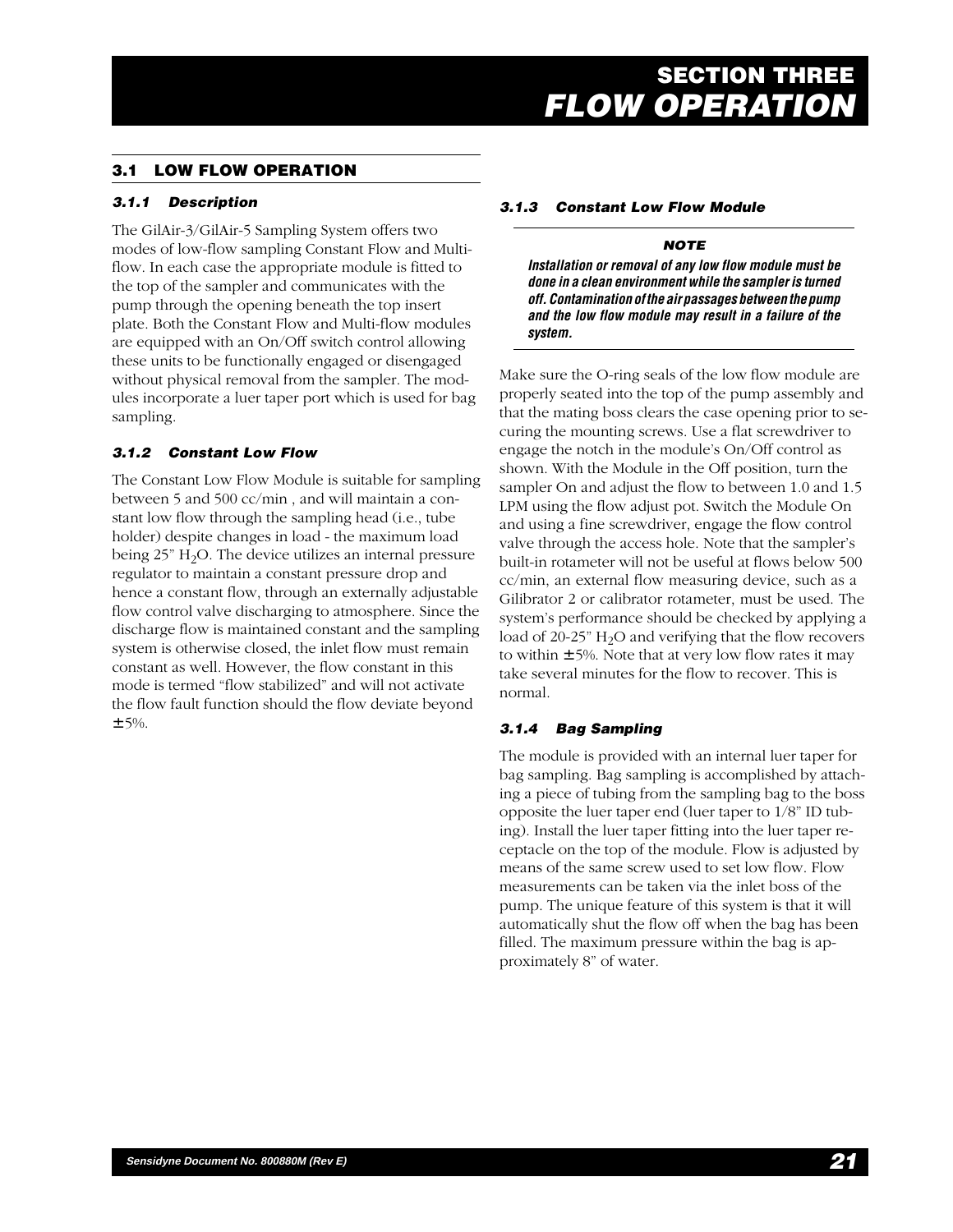# **3.1 LOW FLOW OPERATION**

## **3.1.1 Description**

The GilAir-3/GilAir-5 Sampling System offers two modes of low-flow sampling Constant Flow and Multiflow. In each case the appropriate module is fitted to the top of the sampler and communicates with the pump through the opening beneath the top insert plate. Both the Constant Flow and Multi-flow modules are equipped with an On/Off switch control allowing these units to be functionally engaged or disengaged without physical removal from the sampler. The modules incorporate a luer taper port which is used for bag sampling.

## **3.1.2 Constant Low Flow**

The Constant Low Flow Module is suitable for sampling between 5 and 500 cc/min , and will maintain a constant low flow through the sampling head (i.e., tube holder) despite changes in load - the maximum load being  $25$ " H<sub>2</sub>O. The device utilizes an internal pressure regulator to maintain a constant pressure drop and hence a constant flow, through an externally adjustable flow control valve discharging to atmosphere. Since the discharge flow is maintained constant and the sampling system is otherwise closed, the inlet flow must remain constant as well. However, the flow constant in this mode is termed "flow stabilized" and will not activate the flow fault function should the flow deviate beyond  $± 5%$ .

#### **3.1.3 Constant Low Flow Module**

#### **NOTE**

**Installation or removal of any low flow module must be done in a clean environment while the sampler is turned off. Contamination of the air passages between the pump and the low flow module may result in a failure of the system.**

Make sure the O-ring seals of the low flow module are properly seated into the top of the pump assembly and that the mating boss clears the case opening prior to securing the mounting screws. Use a flat screwdriver to engage the notch in the module's On/Off control as shown. With the Module in the Off position, turn the sampler On and adjust the flow to between 1.0 and 1.5 LPM using the flow adjust pot. Switch the Module On and using a fine screwdriver, engage the flow control valve through the access hole. Note that the sampler's built-in rotameter will not be useful at flows below 500 cc/min, an external flow measuring device, such as a Gilibrator 2 or calibrator rotameter, must be used. The system's performance should be checked by applying a load of 20-25"  $H_2O$  and verifying that the flow recovers to within  $\pm$  5%. Note that at very low flow rates it may take several minutes for the flow to recover. This is normal.

## **3.1.4 Bag Sampling**

The module is provided with an internal luer taper for bag sampling. Bag sampling is accomplished by attaching a piece of tubing from the sampling bag to the boss opposite the luer taper end (luer taper to 1/8" ID tubing). Install the luer taper fitting into the luer taper receptacle on the top of the module. Flow is adjusted by means of the same screw used to set low flow. Flow measurements can be taken via the inlet boss of the pump. The unique feature of this system is that it will automatically shut the flow off when the bag has been filled. The maximum pressure within the bag is approximately 8" of water.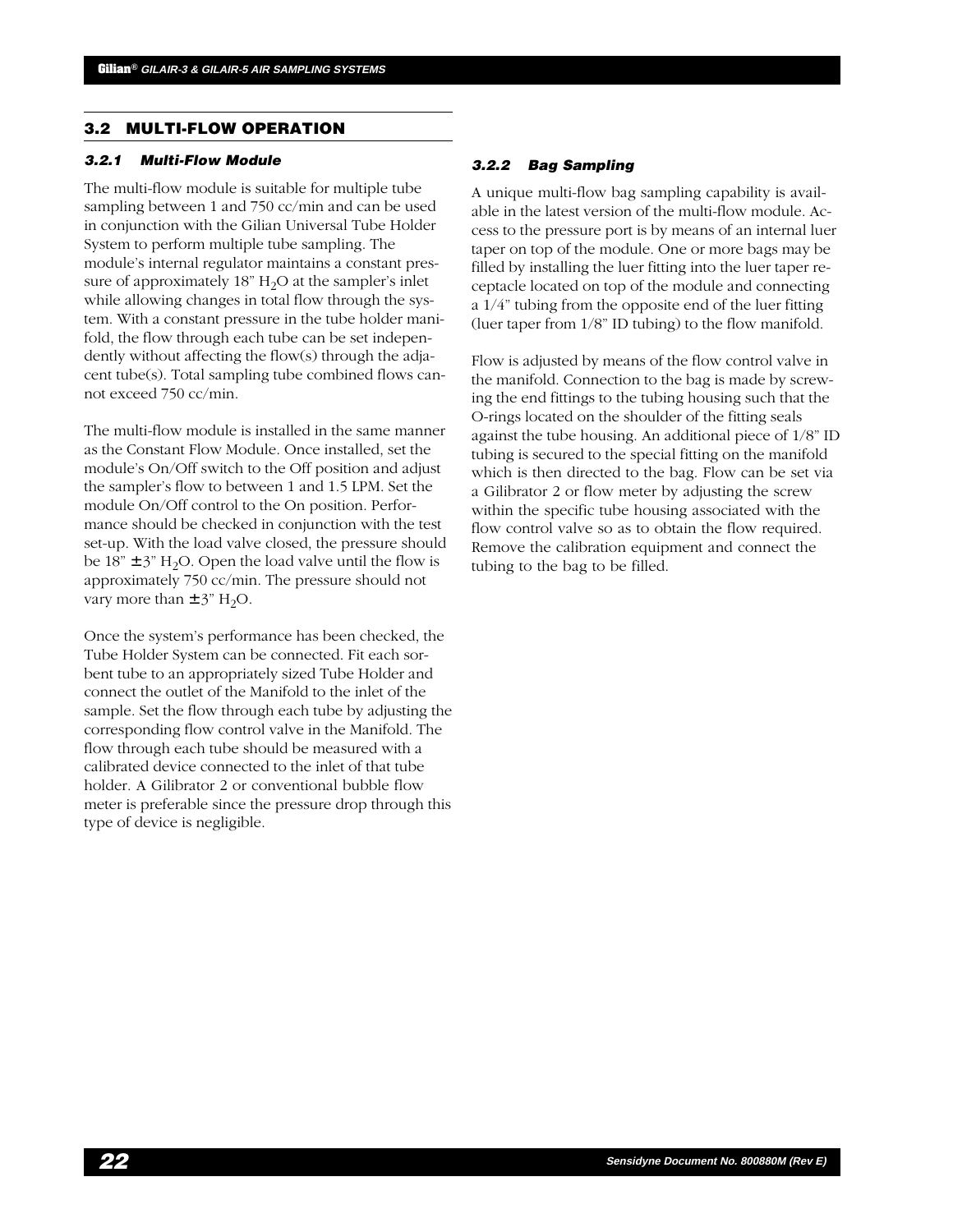## **3.2 MULTI-FLOW OPERATION**

#### **3.2.1 Multi-Flow Module**

The multi-flow module is suitable for multiple tube sampling between 1 and 750 cc/min and can be used in conjunction with the Gilian Universal Tube Holder System to perform multiple tube sampling. The module's internal regulator maintains a constant pressure of approximately  $18"$  H<sub>2</sub>O at the sampler's inlet while allowing changes in total flow through the system. With a constant pressure in the tube holder manifold, the flow through each tube can be set independently without affecting the flow(s) through the adjacent tube(s). Total sampling tube combined flows cannot exceed 750 cc/min.

The multi-flow module is installed in the same manner as the Constant Flow Module. Once installed, set the module's On/Off switch to the Off position and adjust the sampler's flow to between 1 and 1.5 LPM. Set the module On/Off control to the On position. Performance should be checked in conjunction with the test set-up. With the load valve closed, the pressure should be  $18" \pm 3"$  H<sub>2</sub>O. Open the load valve until the flow is approximately 750 cc/min. The pressure should not vary more than  $\pm$  3" H<sub>2</sub>O.

Once the system's performance has been checked, the Tube Holder System can be connected. Fit each sorbent tube to an appropriately sized Tube Holder and connect the outlet of the Manifold to the inlet of the sample. Set the flow through each tube by adjusting the corresponding flow control valve in the Manifold. The flow through each tube should be measured with a calibrated device connected to the inlet of that tube holder. A Gilibrator 2 or conventional bubble flow meter is preferable since the pressure drop through this type of device is negligible.

#### **3.2.2 Bag Sampling**

A unique multi-flow bag sampling capability is available in the latest version of the multi-flow module. Access to the pressure port is by means of an internal luer taper on top of the module. One or more bags may be filled by installing the luer fitting into the luer taper receptacle located on top of the module and connecting a 1/4" tubing from the opposite end of the luer fitting (luer taper from 1/8" ID tubing) to the flow manifold.

Flow is adjusted by means of the flow control valve in the manifold. Connection to the bag is made by screwing the end fittings to the tubing housing such that the O-rings located on the shoulder of the fitting seals against the tube housing. An additional piece of 1/8" ID tubing is secured to the special fitting on the manifold which is then directed to the bag. Flow can be set via a Gilibrator 2 or flow meter by adjusting the screw within the specific tube housing associated with the flow control valve so as to obtain the flow required. Remove the calibration equipment and connect the tubing to the bag to be filled.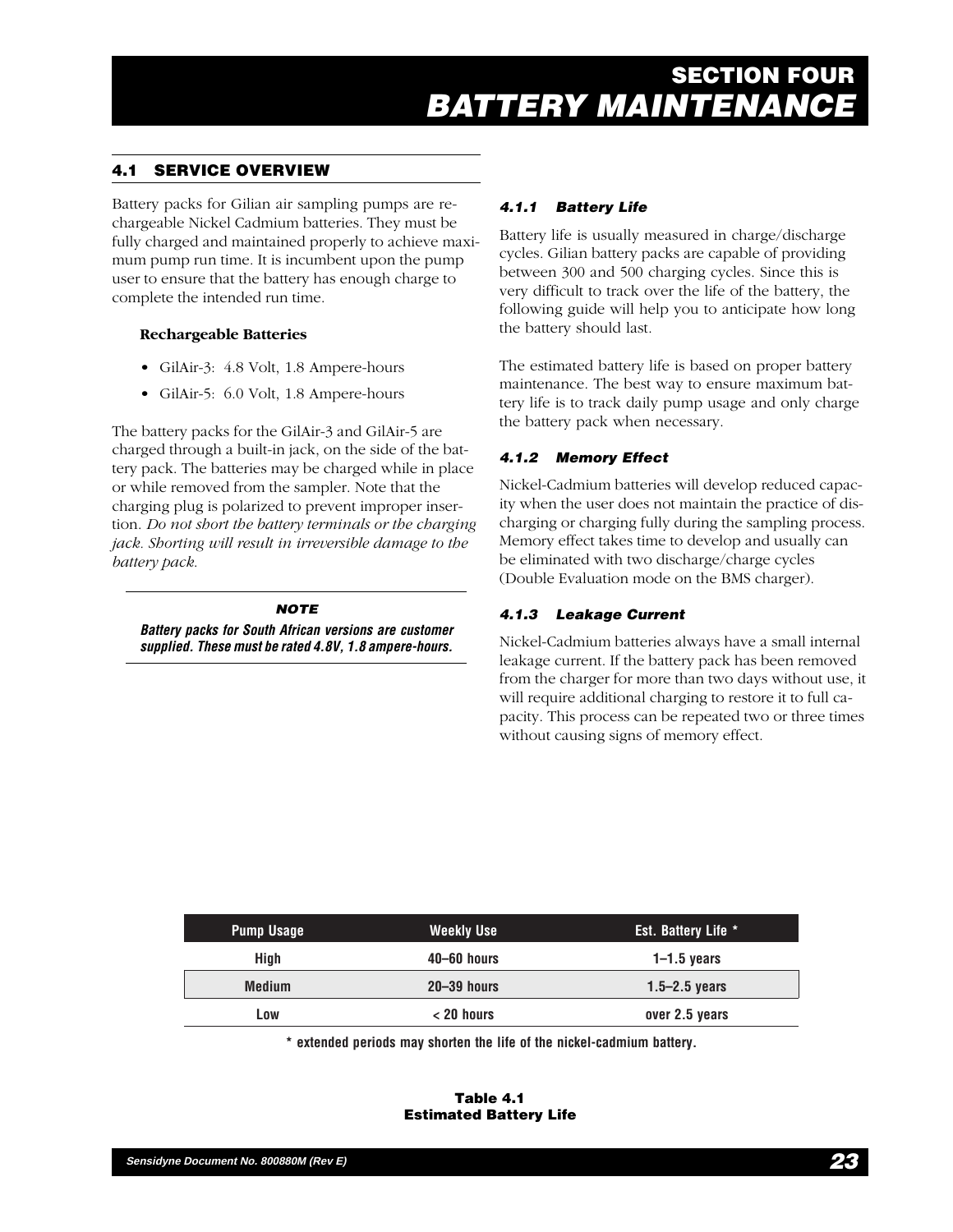# **4.1 SERVICE OVERVIEW**

Battery packs for Gilian air sampling pumps are rechargeable Nickel Cadmium batteries. They must be fully charged and maintained properly to achieve maximum pump run time. It is incumbent upon the pump user to ensure that the battery has enough charge to complete the intended run time.

## **Rechargeable Batteries**

- GilAir-3: 4.8 Volt, 1.8 Ampere-hours
- GilAir-5: 6.0 Volt, 1.8 Ampere-hours

The battery packs for the GilAir-3 and GilAir-5 are charged through a built-in jack, on the side of the battery pack. The batteries may be charged while in place or while removed from the sampler. Note that the charging plug is polarized to prevent improper insertion. *Do not short the battery terminals or the charging jack. Shorting will result in irreversible damage to the battery pack*.

#### **NOTE**

**Battery packs for South African versions are customer supplied. These must be rated 4.8V, 1.8 ampere-hours.**

# **4.1.1 Battery Life**

Battery life is usually measured in charge/discharge cycles. Gilian battery packs are capable of providing between 300 and 500 charging cycles. Since this is very difficult to track over the life of the battery, the following guide will help you to anticipate how long the battery should last.

The estimated battery life is based on proper battery maintenance. The best way to ensure maximum battery life is to track daily pump usage and only charge the battery pack when necessary.

# **4.1.2 Memory Effect**

Nickel-Cadmium batteries will develop reduced capacity when the user does not maintain the practice of discharging or charging fully during the sampling process. Memory effect takes time to develop and usually can be eliminated with two discharge/charge cycles (Double Evaluation mode on the BMS charger).

# **4.1.3 Leakage Current**

Nickel-Cadmium batteries always have a small internal leakage current. If the battery pack has been removed from the charger for more than two days without use, it will require additional charging to restore it to full capacity. This process can be repeated two or three times without causing signs of memory effect.

| <b>Pump Usage</b> | Weekly Use      | Est. Battery Life * |
|-------------------|-----------------|---------------------|
| High              | 40–60 hours     | $1-1.5$ years       |
| <b>Medium</b>     | $20 - 39$ hours | $1.5 - 2.5$ years   |
| Low               | $< 20$ hours    | over 2.5 years      |

**\* extended periods may shorten the life of the nickel-cadmium battery.**

#### **Table 4.1 Estimated Battery Life**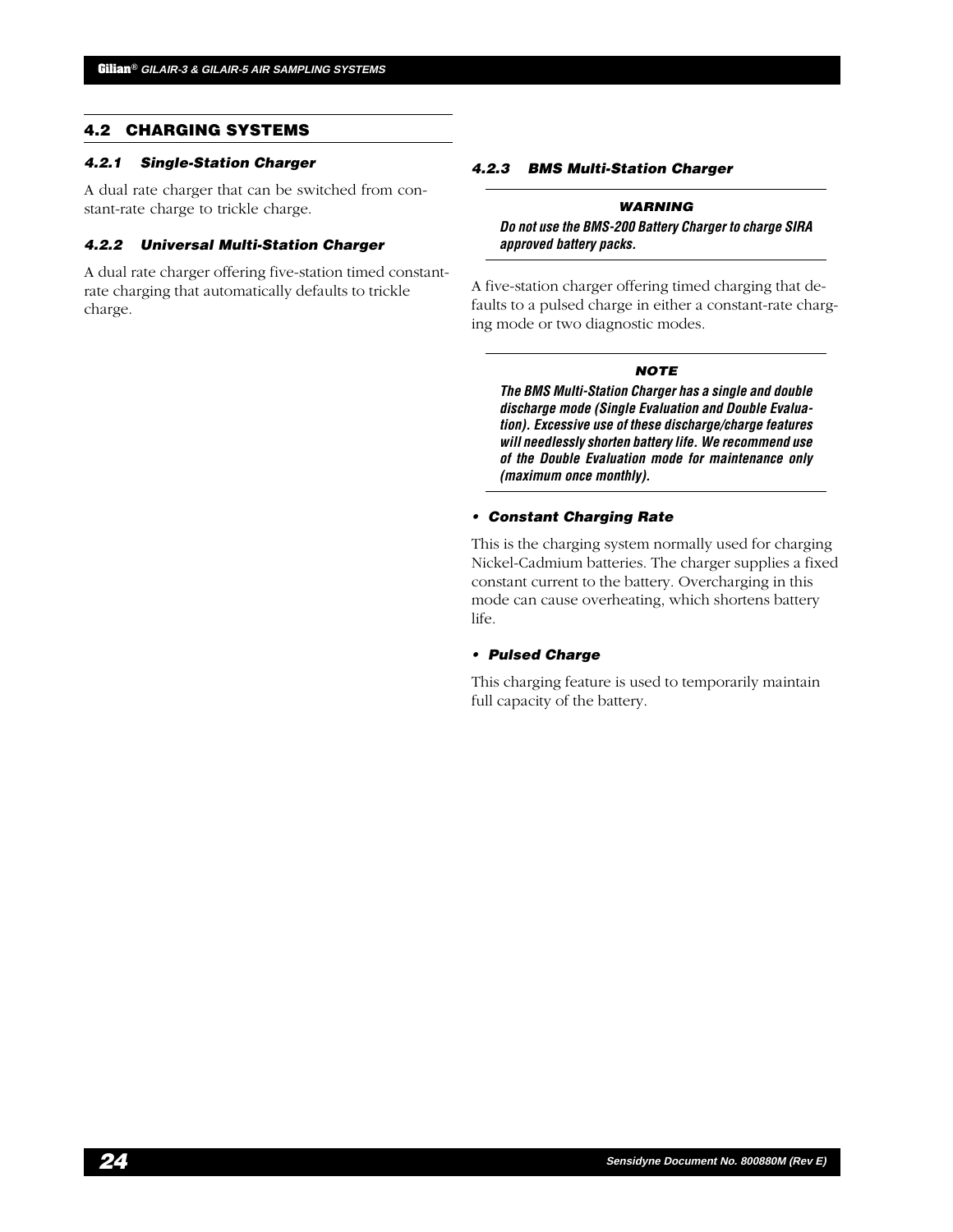#### **4.2 CHARGING SYSTEMS**

#### **4.2.1 Single-Station Charger**

A dual rate charger that can be switched from constant-rate charge to trickle charge.

#### **4.2.2 Universal Multi-Station Charger**

A dual rate charger offering five-station timed constantrate charging that automatically defaults to trickle charge.

#### **4.2.3 BMS Multi-Station Charger**

#### **WARNING**

**Do not use the BMS-200 Battery Charger to charge SIRA approved battery packs.**

A five-station charger offering timed charging that defaults to a pulsed charge in either a constant-rate charging mode or two diagnostic modes.

#### **NOTE**

**The BMS Multi-Station Charger has a single and double discharge mode (Single Evaluation and Double Evaluation). Excessive use of these discharge/charge features will needlessly shorten battery life. We recommend use of the Double Evaluation mode for maintenance only (maximum once monthly).**

#### **• Constant Charging Rate**

This is the charging system normally used for charging Nickel-Cadmium batteries. The charger supplies a fixed constant current to the battery. Overcharging in this mode can cause overheating, which shortens battery life.

#### **• Pulsed Charge**

This charging feature is used to temporarily maintain full capacity of the battery.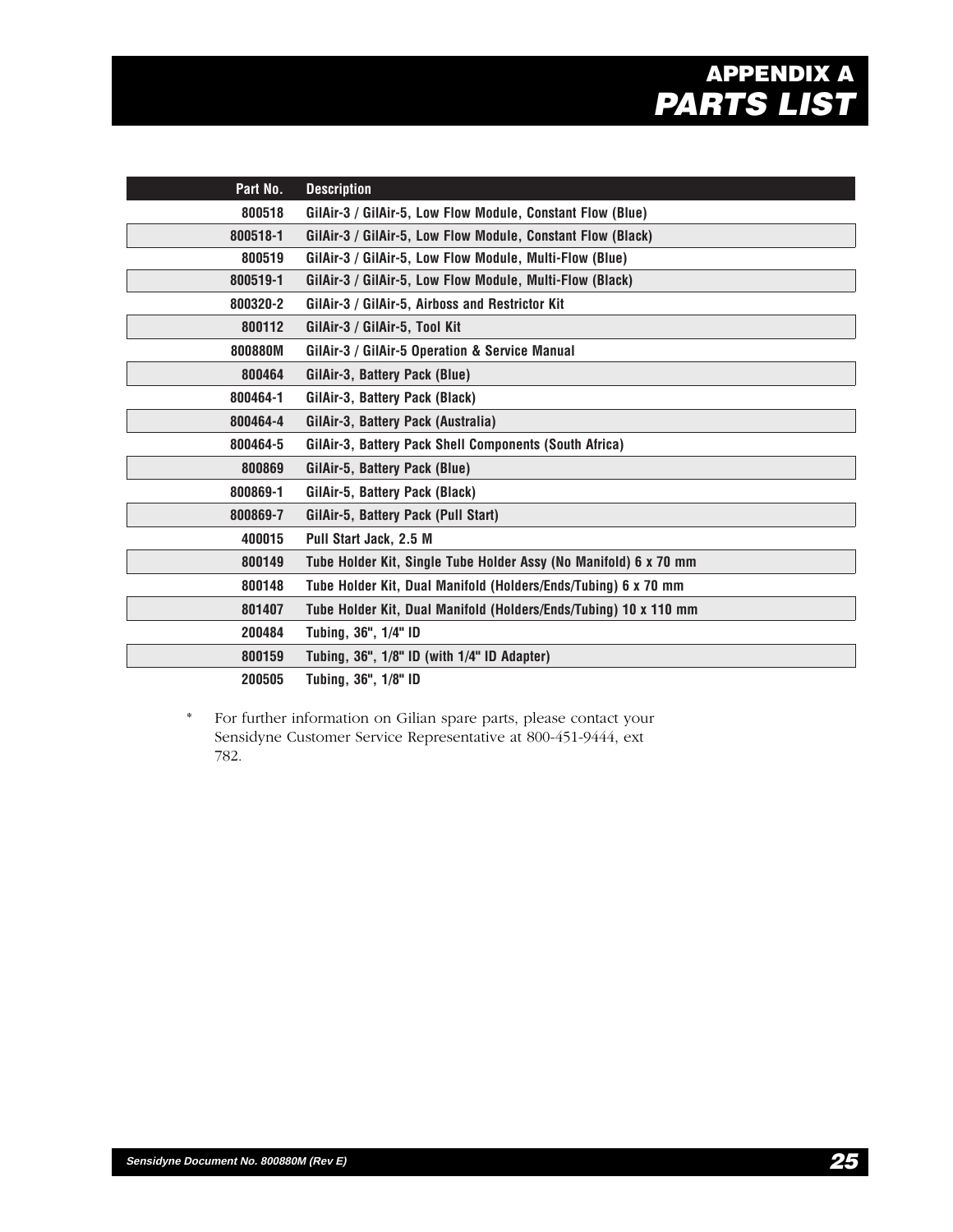# **Gilian® GILAIR-3 & GILAIR-5 AIR SAMPLING SYSTEMS APPENDIX A PARTS LIST**

| Part No. | <b>Description</b>                                               |
|----------|------------------------------------------------------------------|
| 800518   | GilAir-3 / GilAir-5, Low Flow Module, Constant Flow (Blue)       |
| 800518-1 | GilAir-3 / GilAir-5, Low Flow Module, Constant Flow (Black)      |
| 800519   | GilAir-3 / GilAir-5, Low Flow Module, Multi-Flow (Blue)          |
| 800519-1 | GilAir-3 / GilAir-5, Low Flow Module, Multi-Flow (Black)         |
| 800320-2 | GilAir-3 / GilAir-5, Airboss and Restrictor Kit                  |
| 800112   | GilAir-3 / GilAir-5, Tool Kit                                    |
| 800880M  | GilAir-3 / GilAir-5 Operation & Service Manual                   |
| 800464   | GilAir-3, Battery Pack (Blue)                                    |
| 800464-1 | GilAir-3, Battery Pack (Black)                                   |
| 800464-4 | GilAir-3, Battery Pack (Australia)                               |
| 800464-5 | GilAir-3, Battery Pack Shell Components (South Africa)           |
| 800869   | GilAir-5, Battery Pack (Blue)                                    |
| 800869-1 | GilAir-5, Battery Pack (Black)                                   |
| 800869-7 | GilAir-5, Battery Pack (Pull Start)                              |
| 400015   | Pull Start Jack, 2.5 M                                           |
| 800149   | Tube Holder Kit, Single Tube Holder Assy (No Manifold) 6 x 70 mm |
| 800148   | Tube Holder Kit, Dual Manifold (Holders/Ends/Tubing) 6 x 70 mm   |
| 801407   | Tube Holder Kit, Dual Manifold (Holders/Ends/Tubing) 10 x 110 mm |
| 200484   | Tubing, 36", 1/4" ID                                             |
| 800159   | Tubing, 36", 1/8" ID (with 1/4" ID Adapter)                      |
| 200505   | Tubing, 36", 1/8" ID                                             |

\* For further information on Gilian spare parts, please contact your Sensidyne Customer Service Representative at 800-451-9444, ext 782.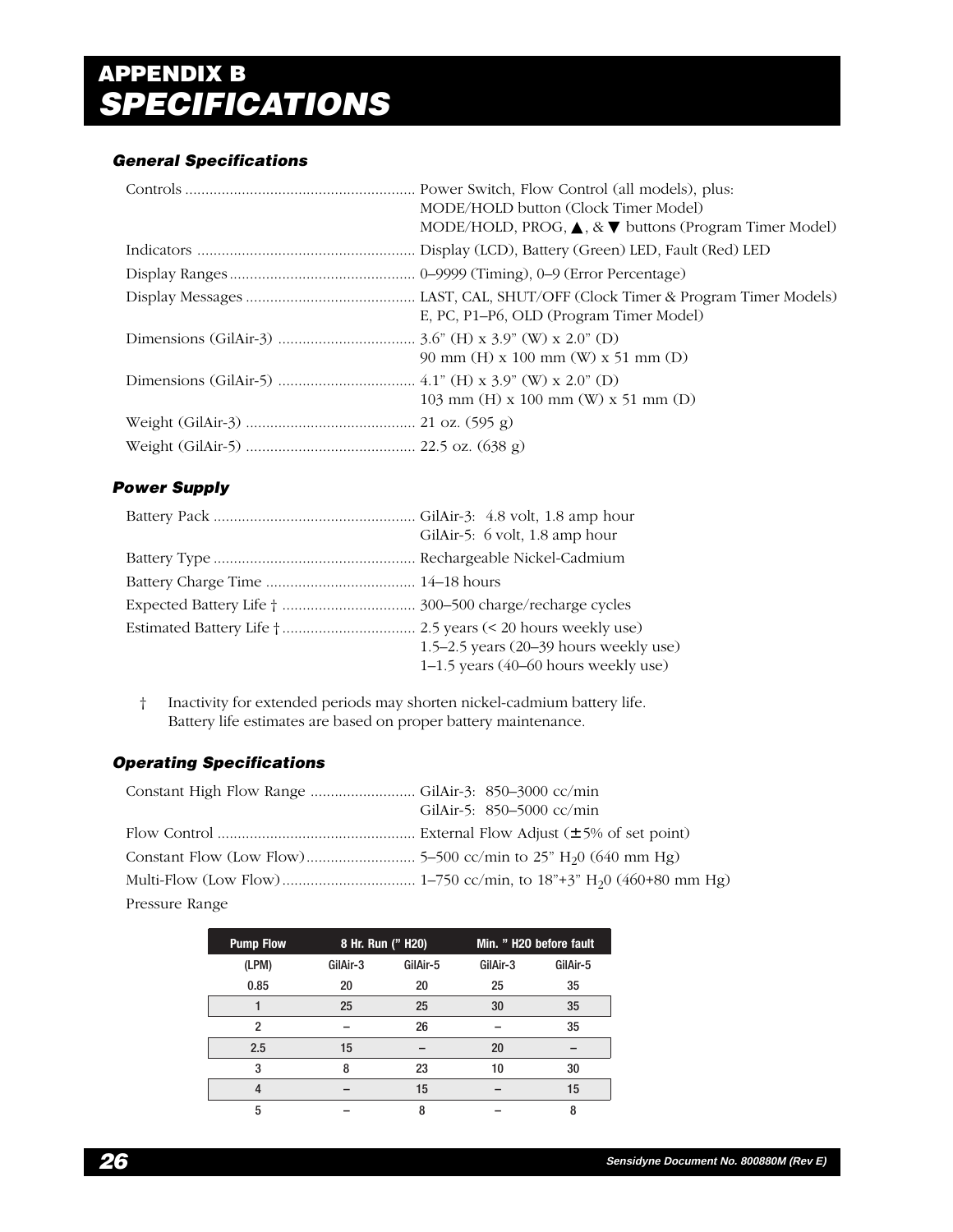# **Gilian® GILAIR-3 & GILAIR-5 AIR SAMPLING SYSTEMS APPENDIX B SPECIFICATIONS**

# **General Specifications**

| MODE/HOLD button (Clock Timer Model)<br>MODE/HOLD, PROG, $\blacktriangle$ , & $\nabla$ buttons (Program Timer Model) |
|----------------------------------------------------------------------------------------------------------------------|
|                                                                                                                      |
|                                                                                                                      |
| E, PC, P1-P6, OLD (Program Timer Model)                                                                              |
| 90 mm (H) x 100 mm (W) x 51 mm (D)                                                                                   |
| 103 mm (H) x 100 mm (W) x 51 mm (D)                                                                                  |
|                                                                                                                      |
|                                                                                                                      |

# **Power Supply**

| GilAir-5: 6 volt, 1.8 amp hour                                                 |
|--------------------------------------------------------------------------------|
|                                                                                |
|                                                                                |
|                                                                                |
| 1.5–2.5 years (20–39 hours weekly use)<br>1-1.5 years (40-60 hours weekly use) |

† Inactivity for extended periods may shorten nickel-cadmium battery life. Battery life estimates are based on proper battery maintenance.

# **Operating Specifications**

|                | GilAir-5: 850-5000 cc/min |
|----------------|---------------------------|
|                |                           |
|                |                           |
|                |                           |
| Pressure Range |                           |

| <b>Pump Flow</b> |          | 8 Hr. Run (" H20) |          | Min. " H2O before fault |
|------------------|----------|-------------------|----------|-------------------------|
| (LPM)            | GilAir-3 | GilAir-5          | GilAir-3 | GilAir-5                |
| 0.85             | 20       | 20                | 25       | 35                      |
|                  | 25       | 25                | 30       | 35                      |
| 2                |          | 26                |          | 35                      |
| 2.5              | 15       |                   | 20       |                         |
| 3                | 8        | 23                | 10       | 30                      |
|                  |          | 15                |          | 15                      |
| 5                |          | 8                 |          | 8                       |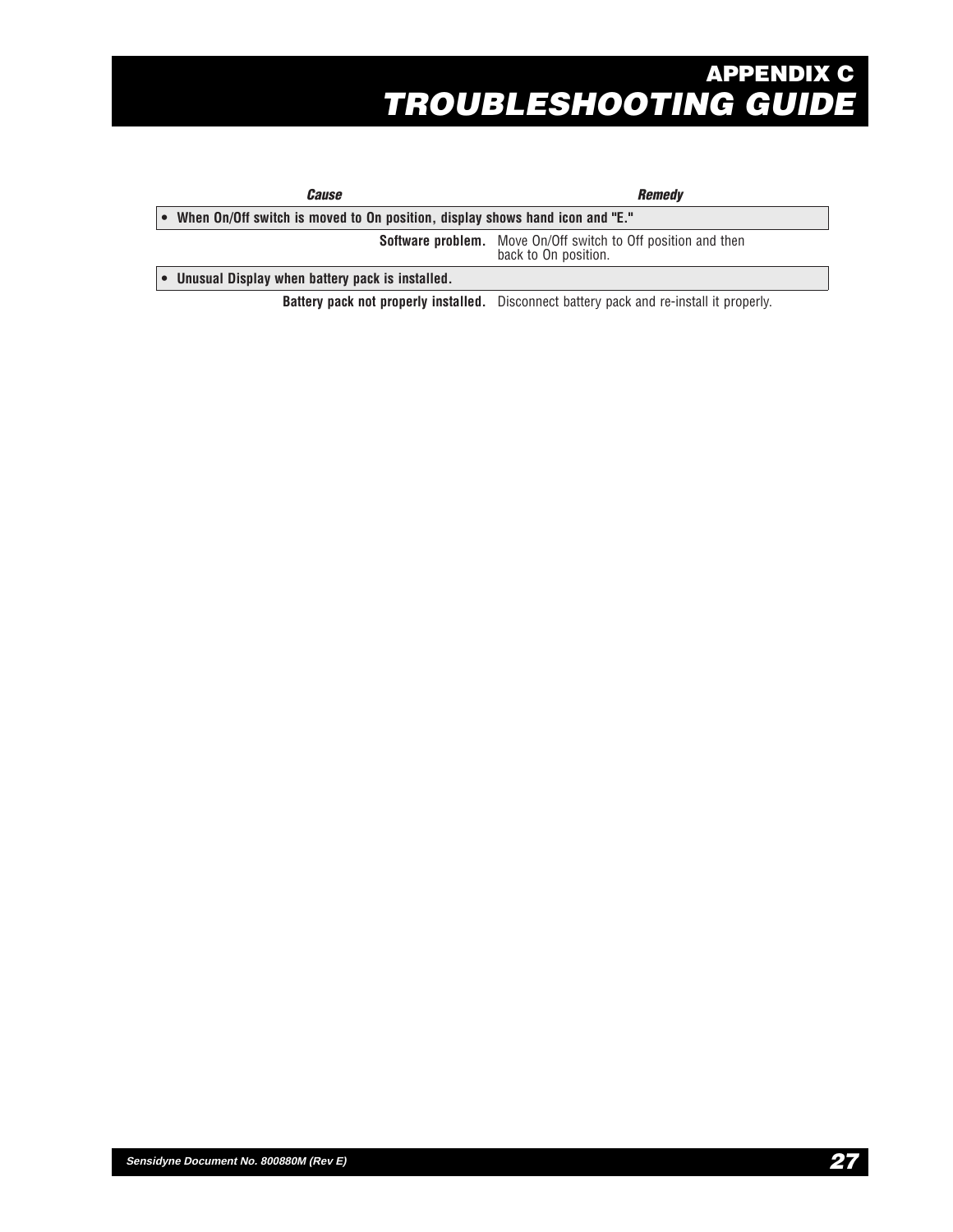# **Gilian® GILAIR-3 & GILAIR-5 AIR SAMPLING SYSTEMS APPENDIX C TROUBLESHOOTING GUIDE**

| <i>Cause</i>                                                                 | <b>Remedy</b>                                                                                   |
|------------------------------------------------------------------------------|-------------------------------------------------------------------------------------------------|
| When On/Off switch is moved to On position, display shows hand icon and "E." |                                                                                                 |
|                                                                              | <b>Software problem.</b> Move On/Off switch to Off position and then<br>back to On position.    |
| • Unusual Display when battery pack is installed.                            |                                                                                                 |
|                                                                              | <b>Battery pack not properly installed.</b> Disconnect battery pack and re-install it properly. |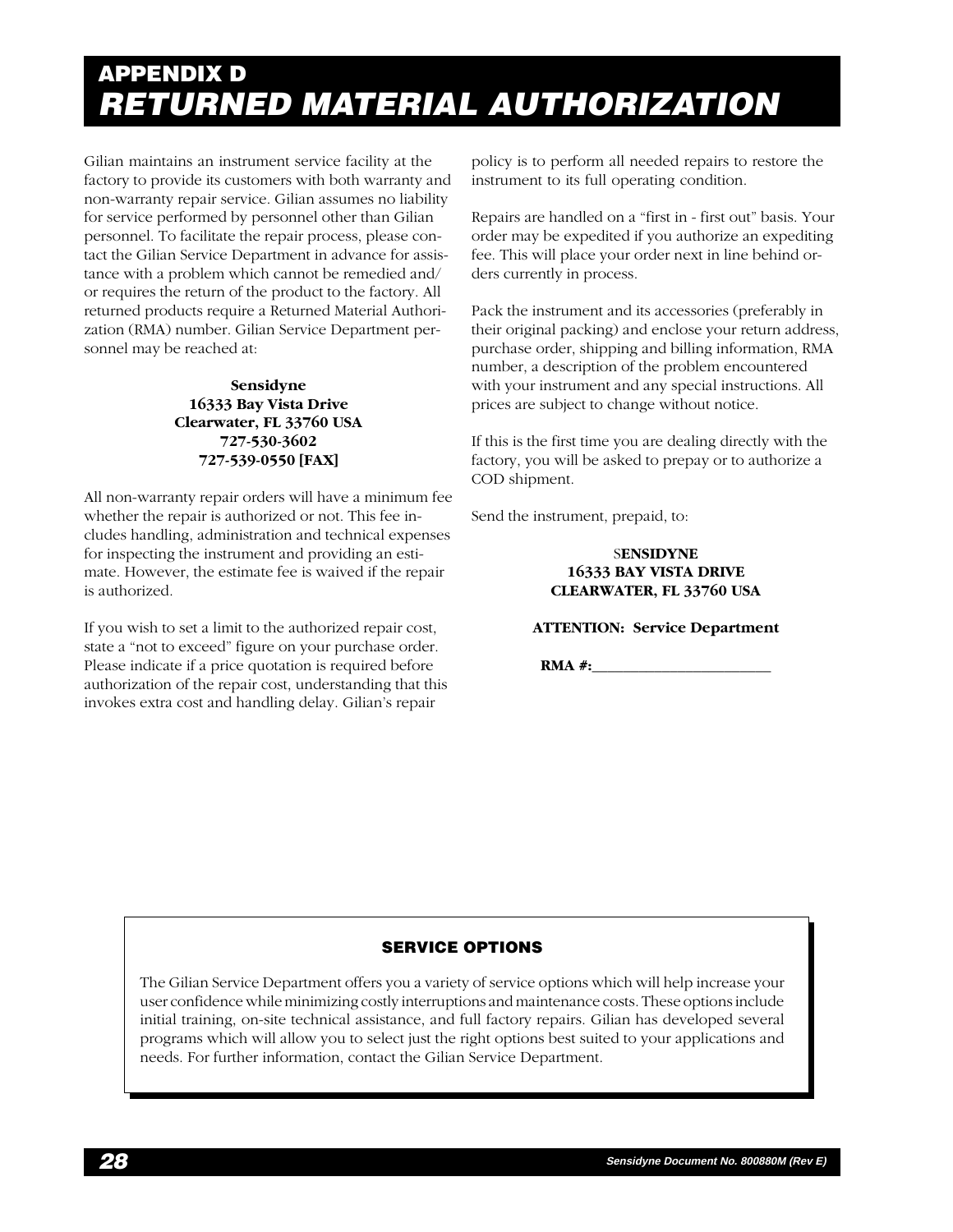# **Gilian® GILAIR-3 & GILAIR-5 AIR SAMPLING SYSTEMS APPENDIX D RETURNED MATERIAL AUTHORIZATION**

Gilian maintains an instrument service facility at the factory to provide its customers with both warranty and non-warranty repair service. Gilian assumes no liability for service performed by personnel other than Gilian personnel. To facilitate the repair process, please contact the Gilian Service Department in advance for assistance with a problem which cannot be remedied and/ or requires the return of the product to the factory. All returned products require a Returned Material Authorization (RMA) number. Gilian Service Department personnel may be reached at:

## **Sensidyne 16333 Bay Vista Drive Clearwater, FL 33760 USA 727-530-3602 727-539-0550 [FAX]**

All non-warranty repair orders will have a minimum fee whether the repair is authorized or not. This fee includes handling, administration and technical expenses for inspecting the instrument and providing an estimate. However, the estimate fee is waived if the repair is authorized.

If you wish to set a limit to the authorized repair cost, state a "not to exceed" figure on your purchase order. Please indicate if a price quotation is required before authorization of the repair cost, understanding that this invokes extra cost and handling delay. Gilian's repair

policy is to perform all needed repairs to restore the instrument to its full operating condition.

Repairs are handled on a "first in - first out" basis. Your order may be expedited if you authorize an expediting fee. This will place your order next in line behind orders currently in process.

Pack the instrument and its accessories (preferably in their original packing) and enclose your return address, purchase order, shipping and billing information, RMA number, a description of the problem encountered with your instrument and any special instructions. All prices are subject to change without notice.

If this is the first time you are dealing directly with the factory, you will be asked to prepay or to authorize a COD shipment.

Send the instrument, prepaid, to:

#### S**ENSIDYNE 16333 BAY VISTA DRIVE CLEARWATER, FL 33760 USA**

## **ATTENTION: Service Department**

**RMA #:\_\_\_\_\_\_\_\_\_\_\_\_\_\_\_\_\_\_\_\_\_\_\_**

# **SERVICE OPTIONS**

The Gilian Service Department offers you a variety of service options which will help increase your user confidence while minimizing costly interruptions and maintenance costs. These options include initial training, on-site technical assistance, and full factory repairs. Gilian has developed several programs which will allow you to select just the right options best suited to your applications and needs. For further information, contact the Gilian Service Department.